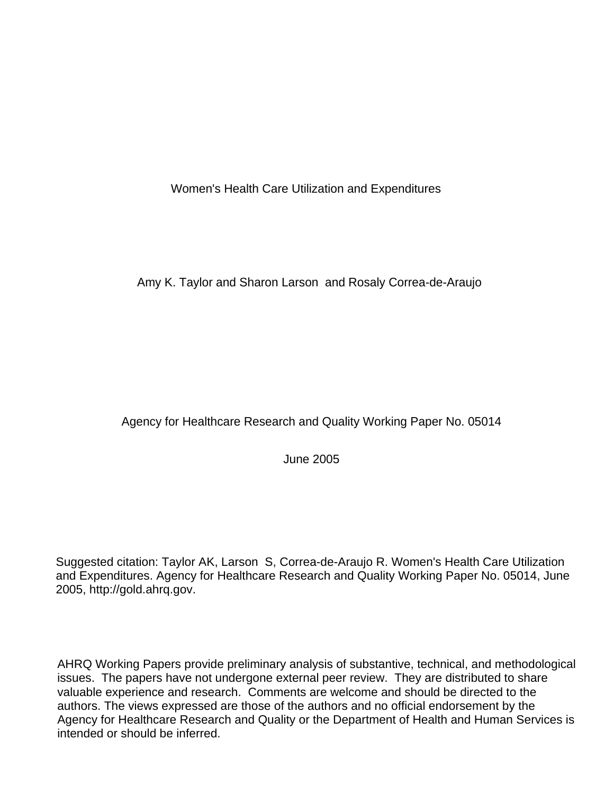Women's Health Care Utilization and Expenditures

Amy K. Taylor and Sharon Larson and Rosaly Correa-de-Araujo

## Agency for Healthcare Research and Quality Working Paper No. 05014

June 2005

Suggested citation: Taylor AK, Larson S, Correa-de-Araujo R. Women's Health Care Utilization and Expenditures. Agency for Healthcare Research and Quality Working Paper No. 05014, June 2005, [http://gold.ahrq.gov.](http://gold.ahrq.gov)

AHRQ Working Papers provide preliminary analysis of substantive, technical, and methodological issues. The papers have not undergone external peer review. They are distributed to share valuable experience and research. Comments are welcome and should be directed to the authors. The views expressed are those of the authors and no official endorsement by the Agency for Healthcare Research and Quality or the Department of Health and Human Services is intended or should be inferred.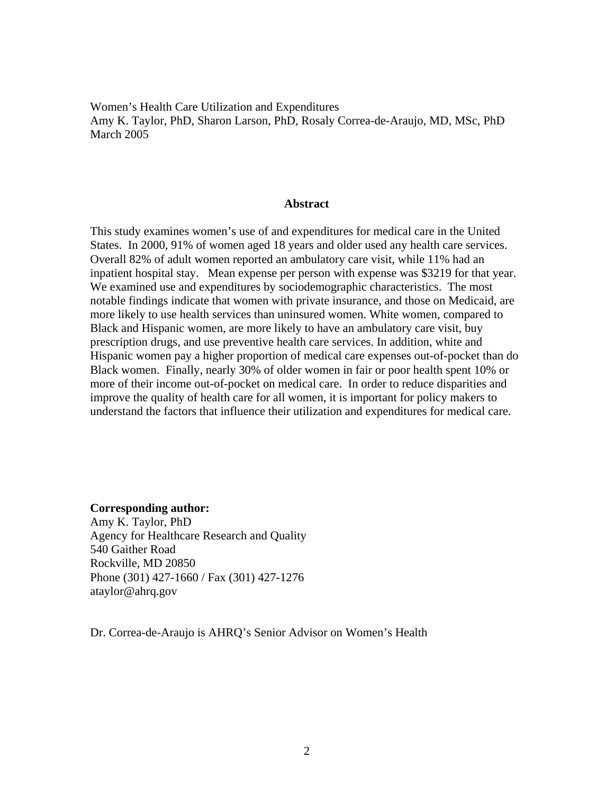Women's Health Care Utilization and Expenditures Amy K. Taylor, PhD, Sharon Larson, PhD, Rosaly Correa-de-Araujo, MD, MSc, PhD March 2005

#### **Abstract**

This study examines women's use of and expenditures for medical care in the United States. In 2000, 91% of women aged 18 years and older used any health care services. Overall 82% of adult women reported an ambulatory care visit, while 11% had an inpatient hospital stay. Mean expense per person with expense was \$3219 for that year. We examined use and expenditures by sociodemographic characteristics. The most notable findings indicate that women with private insurance, and those on Medicaid, are more likely to use health services than uninsured women. White women, compared to Black and Hispanic women, are more likely to have an ambulatory care visit, buy prescription drugs, and use preventive health care services. In addition, white and Hispanic women pay a higher proportion of medical care expenses out-of-pocket than do Black women. Finally, nearly 30% of older women in fair or poor health spent 10% or more of their income out-of-pocket on medical care. In order to reduce disparities and improve the quality of health care for all women, it is important for policy makers to understand the factors that influence their utilization and expenditures for medical care.

#### **Corresponding author:**

Amy K. Taylor, PhD Agency for Healthcare Research and Quality 540 Gaither Road Rockville, MD 20850 Phone (301) 427-1660 / Fax (301) 427-1276 ataylor@ahrq.gov

Dr. Correa-de-Araujo is AHRQ's Senior Advisor on Women's Health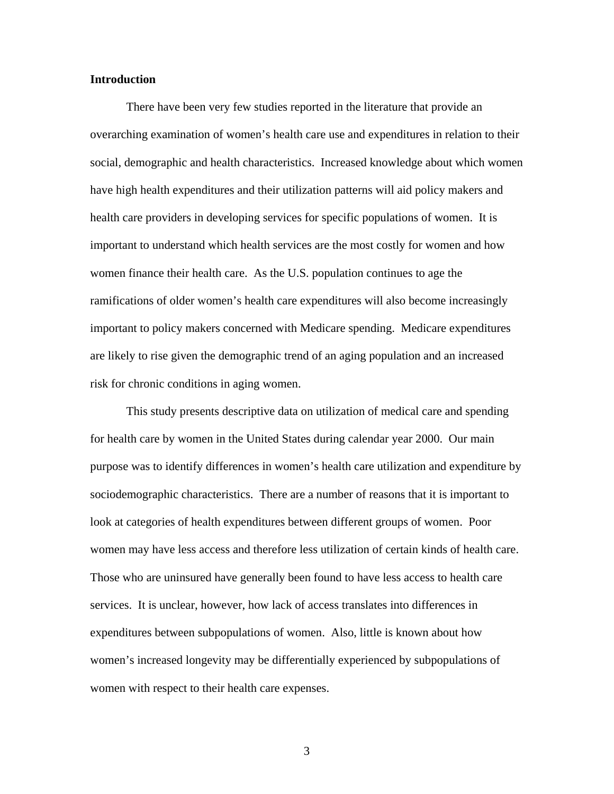#### **Introduction**

There have been very few studies reported in the literature that provide an overarching examination of women's health care use and expenditures in relation to their social, demographic and health characteristics. Increased knowledge about which women have high health expenditures and their utilization patterns will aid policy makers and health care providers in developing services for specific populations of women. It is important to understand which health services are the most costly for women and how women finance their health care. As the U.S. population continues to age the ramifications of older women's health care expenditures will also become increasingly important to policy makers concerned with Medicare spending. Medicare expenditures are likely to rise given the demographic trend of an aging population and an increased risk for chronic conditions in aging women.

This study presents descriptive data on utilization of medical care and spending for health care by women in the United States during calendar year 2000. Our main purpose was to identify differences in women's health care utilization and expenditure by sociodemographic characteristics. There are a number of reasons that it is important to look at categories of health expenditures between different groups of women. Poor women may have less access and therefore less utilization of certain kinds of health care. Those who are uninsured have generally been found to have less access to health care services. It is unclear, however, how lack of access translates into differences in expenditures between subpopulations of women. Also, little is known about how women's increased longevity may be differentially experienced by subpopulations of women with respect to their health care expenses.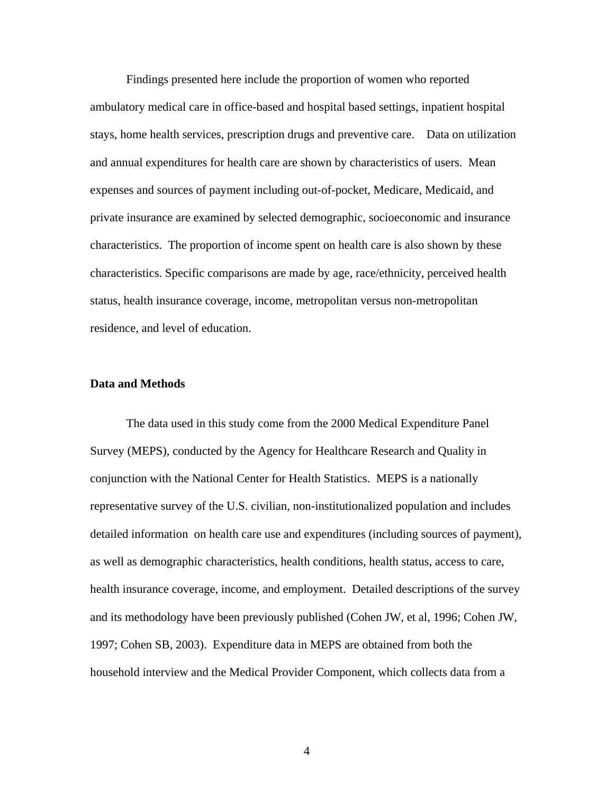stays, home health services, prescription drugs and preventive care. Data on utilization Findings presented here include the proportion of women who reported ambulatory medical care in office-based and hospital based settings, inpatient hospital and annual expenditures for health care are shown by characteristics of users. Mean expenses and sources of payment including out-of-pocket, Medicare, Medicaid, and private insurance are examined by selected demographic, socioeconomic and insurance characteristics. The proportion of income spent on health care is also shown by these characteristics. Specific comparisons are made by age, race/ethnicity, perceived health status, health insurance coverage, income, metropolitan versus non-metropolitan residence, and level of education.

#### **Data and Methods**

The data used in this study come from the 2000 Medical Expenditure Panel Survey (MEPS), conducted by the Agency for Healthcare Research and Quality in conjunction with the National Center for Health Statistics. MEPS is a nationally representative survey of the U.S. civilian, non-institutionalized population and includes detailed information on health care use and expenditures (including sources of payment), as well as demographic characteristics, health conditions, health status, access to care, health insurance coverage, income, and employment. Detailed descriptions of the survey and its methodology have been previously published (Cohen JW, et al, 1996; Cohen JW, 1997; Cohen SB, 2003). Expenditure data in MEPS are obtained from both the household interview and the Medical Provider Component, which collects data from a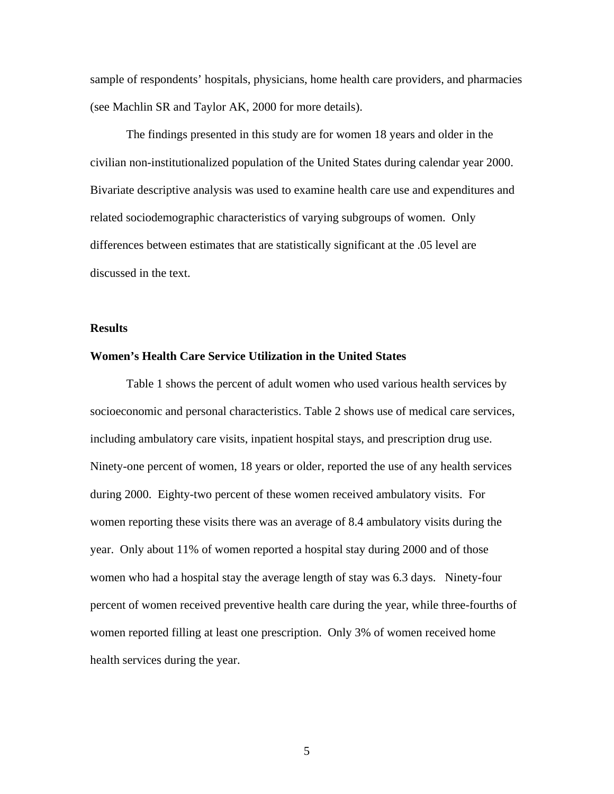sample of respondents' hospitals, physicians, home health care providers, and pharmacies (see Machlin SR and Taylor AK, 2000 for more details).

The findings presented in this study are for women 18 years and older in the civilian non-institutionalized population of the United States during calendar year 2000. Bivariate descriptive analysis was used to examine health care use and expenditures and related sociodemographic characteristics of varying subgroups of women. Only differences between estimates that are statistically significant at the .05 level are discussed in the text.

#### **Results**

#### **Women's Health Care Service Utilization in the United States**

including ambulatory care visits, inpatient hospital stays, and prescription drug use. Table 1 shows the percent of adult women who used various health services by socioeconomic and personal characteristics. Table 2 shows use of medical care services, Ninety-one percent of women, 18 years or older, reported the use of any health services. during 2000. Eighty-two percent of these women received ambulatory visits. For women reporting these visits there was an average of 8.4 ambulatory visits during the year. Only about 11% of women reported a hospital stay during 2000 and of those women who had a hospital stay the average length of stay was 6.3 days. Ninety-four percent of women received preventive health care during the year, while three-fourths of women reported filling at least one prescription. Only 3% of women received home health services during the year.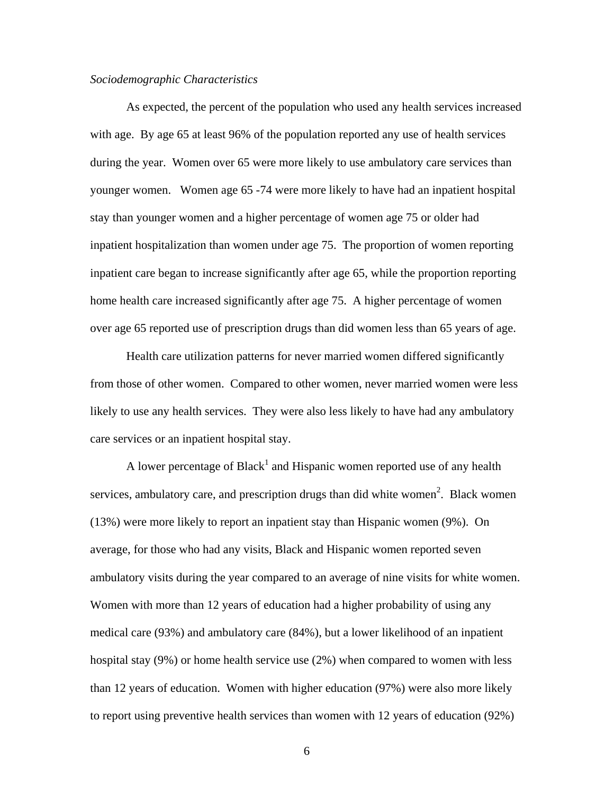#### *Sociodemographic Characteristics*

As expected, the percent of the population who used any health services increased with age. By age 65 at least 96% of the population reported any use of health services during the year. Women over 65 were more likely to use ambulatory care services than younger women. Women age 65 -74 were more likely to have had an inpatient hospital stay than younger women and a higher percentage of women age 75 or older had inpatient hospitalization than women under age 75. The proportion of women reporting inpatient care began to increase significantly after age 65, while the proportion reporting home health care increased significantly after age 75. A higher percentage of women over age 65 reported use of prescription drugs than did women less than 65 years of age.

Health care utilization patterns for never married women differed significantly from those of other women. Compared to other women, never married women were less likely to use any health services. They were also less likely to have had any ambulatory care services or an inpatient hospital stay.

A lower percentage of Black<sup>1</sup> and Hispanic women reported use of any health services, ambulatory care, and prescription drugs than did white women<sup>2</sup>[.](#page-17-0) Black women (13%) were more likely to report an inpatient stay than Hispanic women (9%). On average, for those who had any visits, Black and Hispanic women reported seven ambulatory visits during the year compared to an average of nine visits for white women. Women with more than 12 years of education had a higher probability of using any medical care (93%) and ambulatory care (84%), but a lower likelihood of an inpatient hospital stay (9%) or home health service use (2%) when compared to women with less than 12 years of education. Women with higher education (97%) were also more likely to report using preventive health services than women with 12 years of education (92%)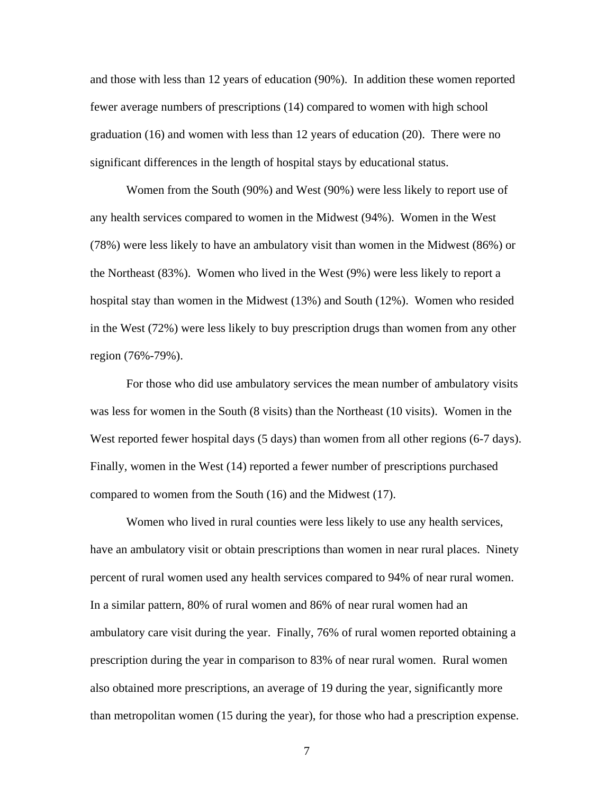and those with less than 12 years of education (90%). In addition these women reported fewer average numbers of prescriptions (14) compared to women with high school graduation (16) and women with less than 12 years of education (20). There were no significant differences in the length of hospital stays by educational status.

Women from the South (90%) and West (90%) were less likely to report use of any health services compared to women in the Midwest (94%). Women in the West (78%) were less likely to have an ambulatory visit than women in the Midwest (86%) or the Northeast (83%). Women who lived in the West (9%) were less likely to report a hospital stay than women in the Midwest (13%) and South (12%). Women who resided in the West (72%) were less likely to buy prescription drugs than women from any other region (76%-79%).

For those who did use ambulatory services the mean number of ambulatory visits was less for women in the South (8 visits) than the Northeast (10 visits). Women in the West reported fewer hospital days (5 days) than women from all other regions (6-7 days). Finally, women in the West (14) reported a fewer number of prescriptions purchased compared to women from the South (16) and the Midwest (17).

Women who lived in rural counties were less likely to use any health services, have an ambulatory visit or obtain prescriptions than women in near rural places. Ninety percent of rural women used any health services compared to 94% of near rural women. In a similar pattern, 80% of rural women and 86% of near rural women had an ambulatory care visit during the year. Finally, 76% of rural women reported obtaining a prescription during the year in comparison to 83% of near rural women. Rural women also obtained more prescriptions, an average of 19 during the year, significantly more than metropolitan women (15 during the year), for those who had a prescription expense.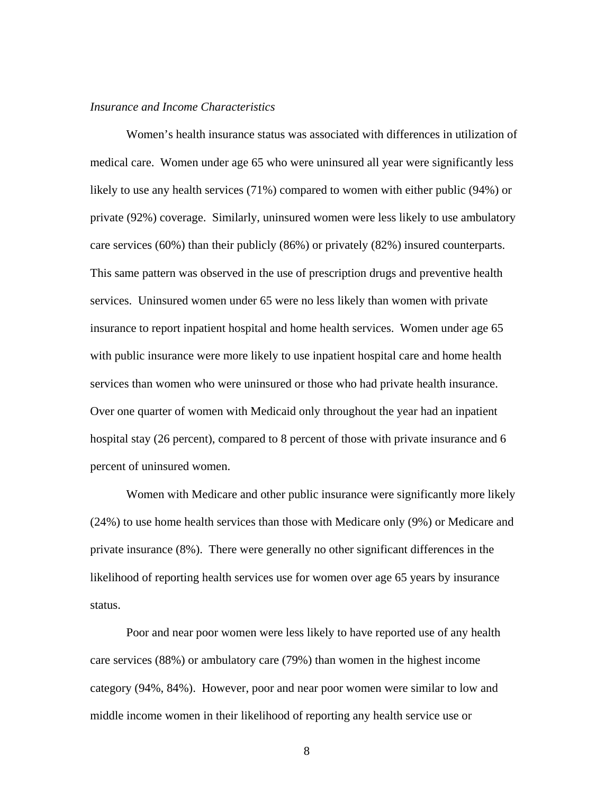#### *Insurance and Income Characteristics*

Women's health insurance status was associated with differences in utilization of medical care. Women under age 65 who were uninsured all year were significantly less likely to use any health services (71%) compared to women with either public (94%) or private (92%) coverage. Similarly, uninsured women were less likely to use ambulatory care services (60%) than their publicly (86%) or privately (82%) insured counterparts. This same pattern was observed in the use of prescription drugs and preventive health services. Uninsured women under 65 were no less likely than women with private insurance to report inpatient hospital and home health services. Women under age 65 with public insurance were more likely to use inpatient hospital care and home health services than women who were uninsured or those who had private health insurance. Over one quarter of women with Medicaid only throughout the year had an inpatient hospital stay (26 percent), compared to 8 percent of those with private insurance and 6 percent of uninsured women.

Women with Medicare and other public insurance were significantly more likely (24%) to use home health services than those with Medicare only (9%) or Medicare and private insurance (8%). There were generally no other significant differences in the likelihood of reporting health services use for women over age 65 years by insurance status.

Poor and near poor women were less likely to have reported use of any health care services (88%) or ambulatory care (79%) than women in the highest income category (94%, 84%). However, poor and near poor women were similar to low and middle income women in their likelihood of reporting any health service use or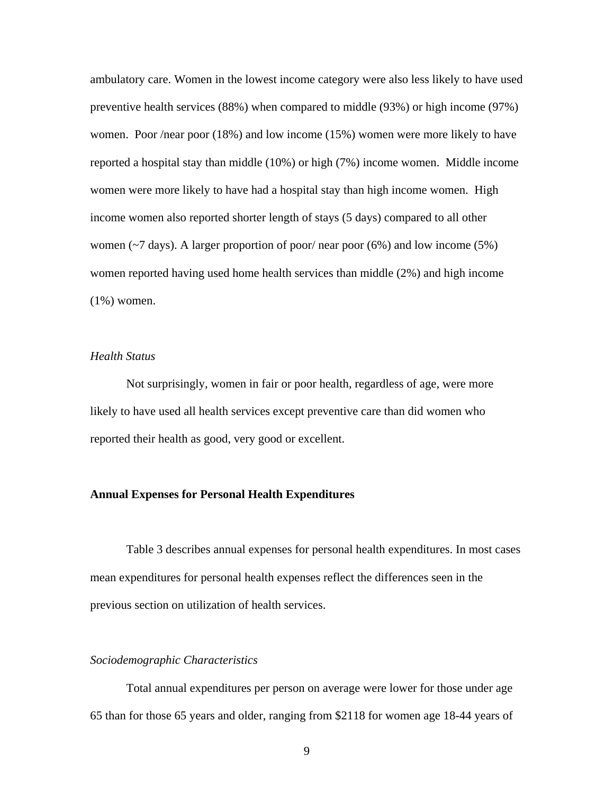ambulatory care. Women in the lowest income category were also less likely to have used preventive health services (88%) when compared to middle (93%) or high income (97%) women. Poor /near poor (18%) and low income (15%) women were more likely to have reported a hospital stay than middle (10%) or high (7%) income women. Middle income women were more likely to have had a hospital stay than high income women. High income women also reported shorter length of stays (5 days) compared to all other women ( $\sim$ 7 days). A larger proportion of poor/ near poor (6%) and low income (5%) women reported having used home health services than middle (2%) and high income (1%) women.

#### *Health Status*

Not surprisingly, women in fair or poor health, regardless of age, were more likely to have used all health services except preventive care than did women who reported their health as good, very good or excellent.

#### **Annual Expenses for Personal Health Expenditures**

Table 3 describes annual expenses for personal health expenditures. In most cases mean expenditures for personal health expenses reflect the differences seen in the previous section on utilization of health services.

#### *Sociodemographic Characteristics*

Total annual expenditures per person on average were lower for those under age 65 than for those 65 years and older, ranging from \$2118 for women age 18-44 years of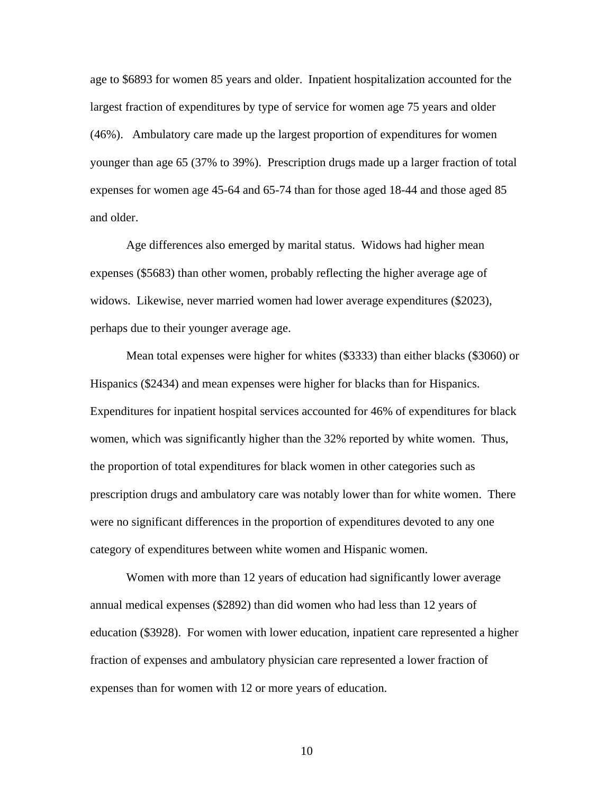age to \$6893 for women 85 years and older. Inpatient hospitalization accounted for the largest fraction of expenditures by type of service for women age 75 years and older (46%). Ambulatory care made up the largest proportion of expenditures for women younger than age 65 (37% to 39%). Prescription drugs made up a larger fraction of total expenses for women age 45-64 and 65-74 than for those aged 18-44 and those aged 85 and older.

Age differences also emerged by marital status. Widows had higher mean expenses (\$5683) than other women, probably reflecting the higher average age of widows. Likewise, never married women had lower average expenditures (\$2023), perhaps due to their younger average age.

Mean total expenses were higher for whites (\$3333) than either blacks (\$3060) or Hispanics (\$2434) and mean expenses were higher for blacks than for Hispanics. Expenditures for inpatient hospital services accounted for 46% of expenditures for black women, which was significantly higher than the 32% reported by white women. Thus, the proportion of total expenditures for black women in other categories such as prescription drugs and ambulatory care was notably lower than for white women. There were no significant differences in the proportion of expenditures devoted to any one category of expenditures between white women and Hispanic women.

Women with more than 12 years of education had significantly lower average annual medical expenses (\$2892) than did women who had less than 12 years of education (\$3928). For women with lower education, inpatient care represented a higher fraction of expenses and ambulatory physician care represented a lower fraction of expenses than for women with 12 or more years of education.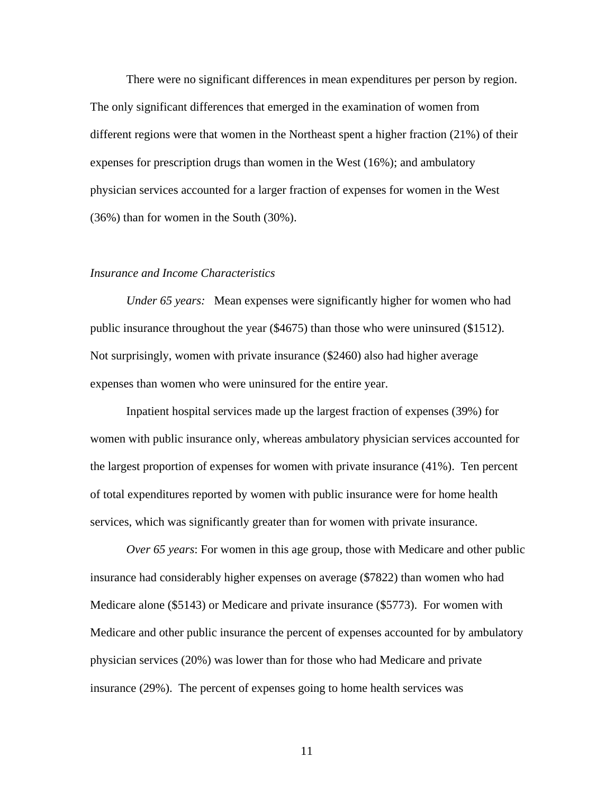There were no significant differences in mean expenditures per person by region. The only significant differences that emerged in the examination of women from different regions were that women in the Northeast spent a higher fraction (21%) of their expenses for prescription drugs than women in the West (16%); and ambulatory physician services accounted for a larger fraction of expenses for women in the West (36%) than for women in the South (30%).

#### *Insurance and Income Characteristics*

*Under 65 years:* Mean expenses were significantly higher for women who had public insurance throughout the year (\$4675) than those who were uninsured (\$1512). Not surprisingly, women with private insurance (\$2460) also had higher average expenses than women who were uninsured for the entire year.

Inpatient hospital services made up the largest fraction of expenses (39%) for women with public insurance only, whereas ambulatory physician services accounted for the largest proportion of expenses for women with private insurance (41%). Ten percent of total expenditures reported by women with public insurance were for home health services, which was significantly greater than for women with private insurance.

*Over 65 years*: For women in this age group, those with Medicare and other public insurance had considerably higher expenses on average (\$7822) than women who had Medicare alone (\$5143) or Medicare and private insurance (\$5773). For women with Medicare and other public insurance the percent of expenses accounted for by ambulatory physician services (20%) was lower than for those who had Medicare and private insurance (29%). The percent of expenses going to home health services was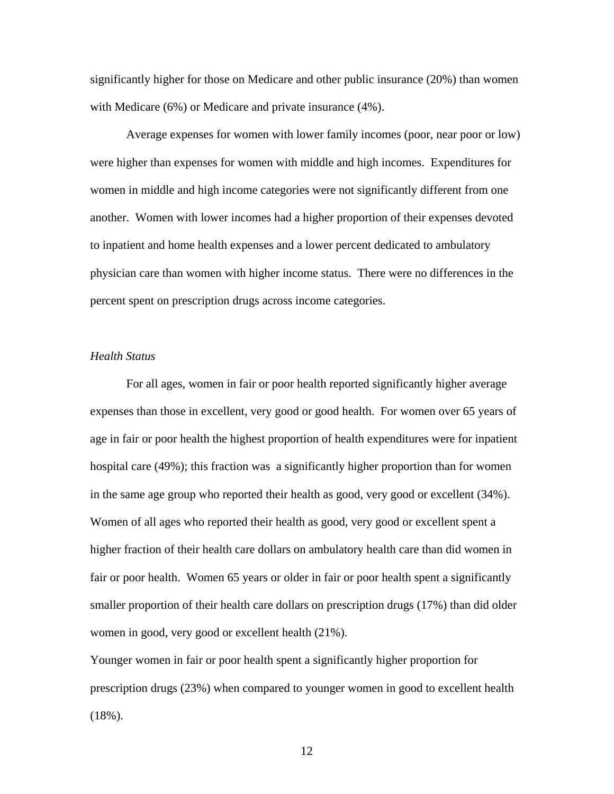significantly higher for those on Medicare and other public insurance (20%) than women with Medicare (6%) or Medicare and private insurance (4%).

Average expenses for women with lower family incomes (poor, near poor or low) were higher than expenses for women with middle and high incomes. Expenditures for women in middle and high income categories were not significantly different from one another. Women with lower incomes had a higher proportion of their expenses devoted to inpatient and home health expenses and a lower percent dedicated to ambulatory physician care than women with higher income status. There were no differences in the percent spent on prescription drugs across income categories.

#### *Health Status*

For all ages, women in fair or poor health reported significantly higher average expenses than those in excellent, very good or good health. For women over 65 years of age in fair or poor health the highest proportion of health expenditures were for inpatient hospital care (49%); this fraction was a significantly higher proportion than for women in the same age group who reported their health as good, very good or excellent (34%). Women of all ages who reported their health as good, very good or excellent spent a higher fraction of their health care dollars on ambulatory health care than did women in fair or poor health. Women 65 years or older in fair or poor health spent a significantly smaller proportion of their health care dollars on prescription drugs (17%) than did older women in good, very good or excellent health (21%).

Younger women in fair or poor health spent a significantly higher proportion for prescription drugs (23%) when compared to younger women in good to excellent health (18%).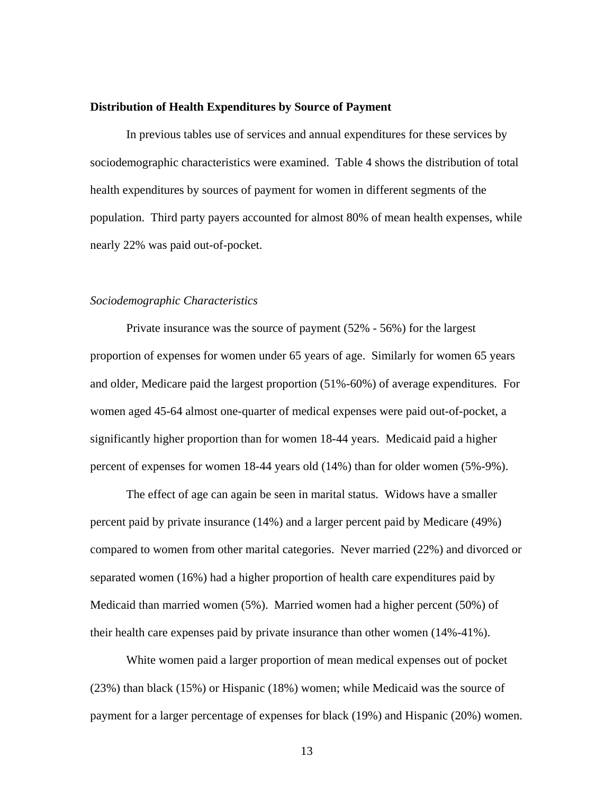#### **Distribution of Health Expenditures by Source of Payment**

In previous tables use of services and annual expenditures for these services by sociodemographic characteristics were examined. Table 4 shows the distribution of total health expenditures by sources of payment for women in different segments of the population. Third party payers accounted for almost 80% of mean health expenses, while nearly 22% was paid out-of-pocket.

#### *Sociodemographic Characteristics*

Private insurance was the source of payment (52% - 56%) for the largest proportion of expenses for women under 65 years of age. Similarly for women 65 years and older, Medicare paid the largest proportion (51%-60%) of average expenditures. For women aged 45-64 almost one-quarter of medical expenses were paid out-of-pocket, a significantly higher proportion than for women 18-44 years. Medicaid paid a higher percent of expenses for women 18-44 years old (14%) than for older women (5%-9%).

The effect of age can again be seen in marital status. Widows have a smaller percent paid by private insurance (14%) and a larger percent paid by Medicare (49%) compared to women from other marital categories. Never married (22%) and divorced or separated women (16%) had a higher proportion of health care expenditures paid by Medicaid than married women (5%). Married women had a higher percent (50%) of their health care expenses paid by private insurance than other women (14%-41%).

White women paid a larger proportion of mean medical expenses out of pocket (23%) than black (15%) or Hispanic (18%) women; while Medicaid was the source of payment for a larger percentage of expenses for black (19%) and Hispanic (20%) women.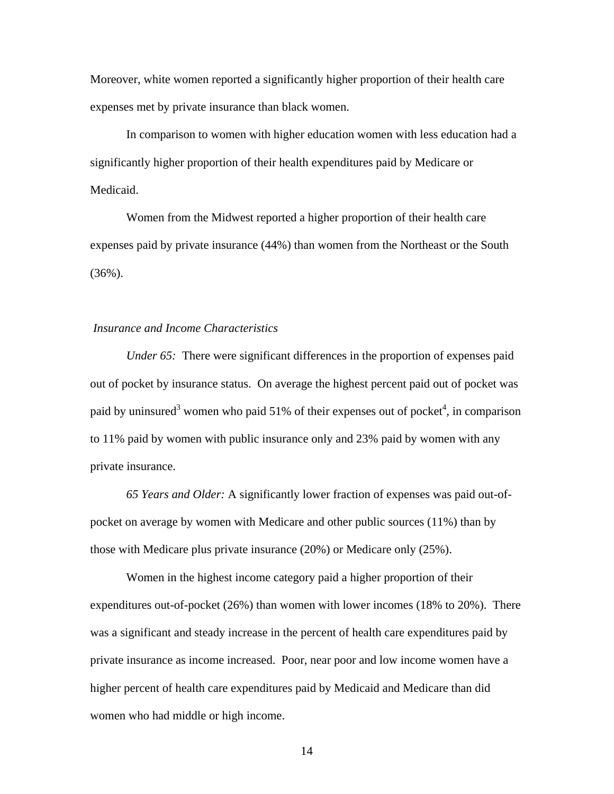Moreover, white women reported a significantly higher proportion of their health care expenses met by private insurance than black women.

In comparison to women with higher education women with less education had a significantly higher proportion of their health expenditures paid by Medicare or Medicaid.

Women from the Midwest reported a higher proportion of their health care expenses paid by private insurance (44%) than women from the Northeast or the South (36%).

#### *Insurance and Income Characteristics*

*Under 65:* There were significant differences in the proportion of expenses paid out of pocket by insurance status. On average the highest percent paid out of pocket was paid by uninsured<sup>3</sup> [w](#page-18-0)omen who paid 51% of their expenses out of pocket<sup>4</sup>, in comparison to 11% paid by women with public insurance only and 23% paid by women with any private insurance.

*65 Years and Older:* A significantly lower fraction of expenses was paid out-ofpocket on average by women with Medicare and other public sources (11%) than by those with Medicare plus private insurance (20%) or Medicare only (25%).

Women in the highest income category paid a higher proportion of their expenditures out-of-pocket (26%) than women with lower incomes (18% to 20%). There was a significant and steady increase in the percent of health care expenditures paid by private insurance as income increased. Poor, near poor and low income women have a higher percent of health care expenditures paid by Medicaid and Medicare than did women who had middle or high income.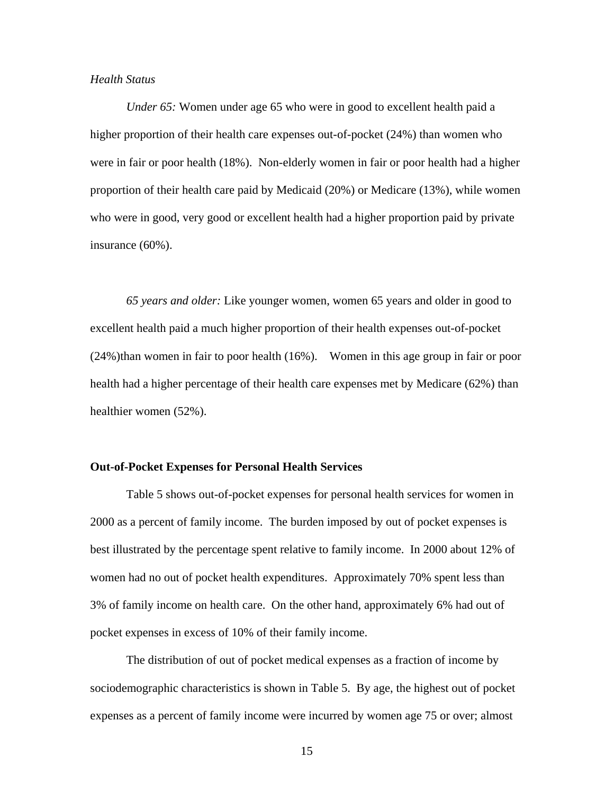#### *Health Status*

*Under 65:* Women under age 65 who were in good to excellent health paid a higher proportion of their health care expenses out-of-pocket (24%) than women who were in fair or poor health (18%). Non-elderly women in fair or poor health had a higher proportion of their health care paid by Medicaid (20%) or Medicare (13%), while women who were in good, very good or excellent health had a higher proportion paid by private insurance (60%).

 (24%)than women in fair to poor health (16%). Women in this age group in fair or poor *65 years and older:* Like younger women, women 65 years and older in good to excellent health paid a much higher proportion of their health expenses out-of-pocket health had a higher percentage of their health care expenses met by Medicare (62%) than healthier women (52%).

#### **Out-of-Pocket Expenses for Personal Health Services**

Table 5 shows out-of-pocket expenses for personal health services for women in 2000 as a percent of family income. The burden imposed by out of pocket expenses is best illustrated by the percentage spent relative to family income. In 2000 about 12% of women had no out of pocket health expenditures. Approximately 70% spent less than 3% of family income on health care. On the other hand, approximately 6% had out of pocket expenses in excess of 10% of their family income.

The distribution of out of pocket medical expenses as a fraction of income by sociodemographic characteristics is shown in Table 5. By age, the highest out of pocket expenses as a percent of family income were incurred by women age 75 or over; almost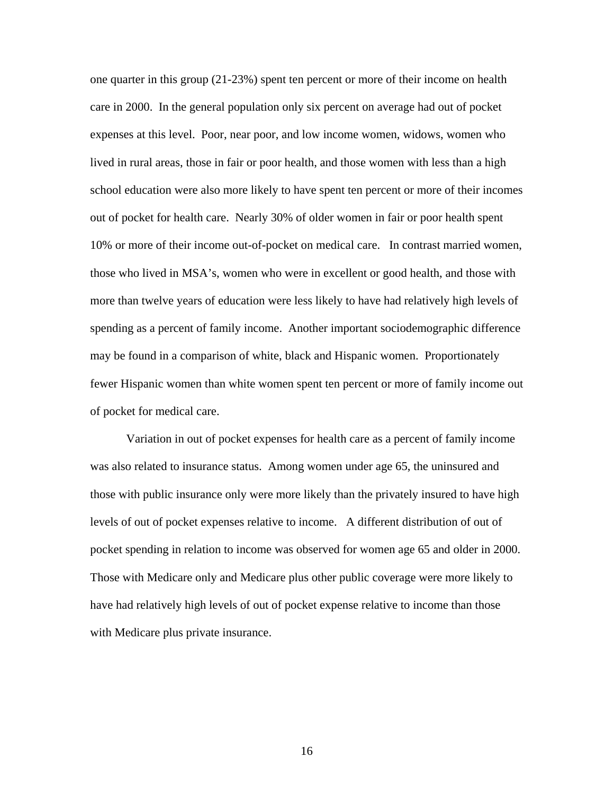one quarter in this group (21-23%) spent ten percent or more of their income on health care in 2000. In the general population only six percent on average had out of pocket expenses at this level. Poor, near poor, and low income women, widows, women who lived in rural areas, those in fair or poor health, and those women with less than a high school education were also more likely to have spent ten percent or more of their incomes out of pocket for health care. Nearly 30% of older women in fair or poor health spent 10% or more of their income out-of-pocket on medical care. In contrast married women, those who lived in MSA's, women who were in excellent or good health, and those with more than twelve years of education were less likely to have had relatively high levels of spending as a percent of family income. Another important sociodemographic difference may be found in a comparison of white, black and Hispanic women. Proportionately fewer Hispanic women than white women spent ten percent or more of family income out of pocket for medical care.

Variation in out of pocket expenses for health care as a percent of family income was also related to insurance status. Among women under age 65, the uninsured and those with public insurance only were more likely than the privately insured to have high levels of out of pocket expenses relative to income. A different distribution of out of pocket spending in relation to income was observed for women age 65 and older in 2000. Those with Medicare only and Medicare plus other public coverage were more likely to have had relatively high levels of out of pocket expense relative to income than those with Medicare plus private insurance.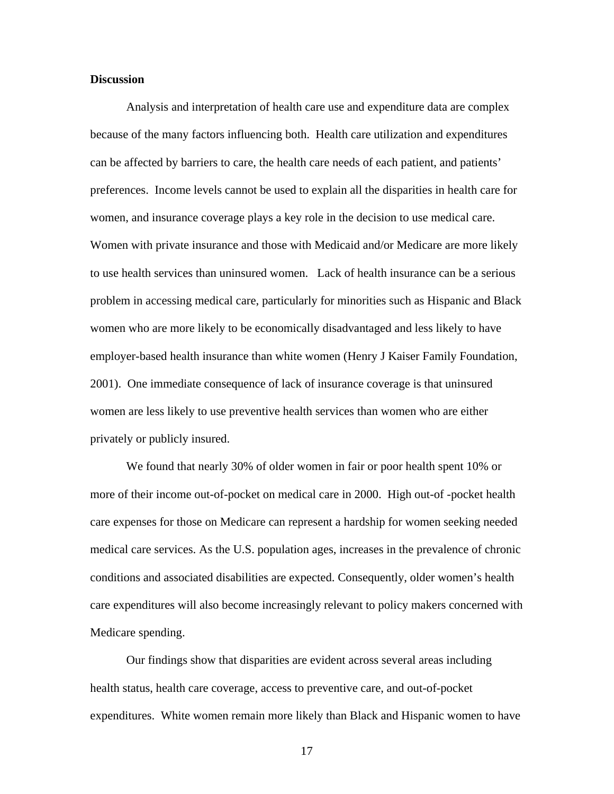#### **Discussion**

Analysis and interpretation of health care use and expenditure data are complex because of the many factors influencing both. Health care utilization and expenditures can be affected by barriers to care, the health care needs of each patient, and patients' preferences. Income levels cannot be used to explain all the disparities in health care for women, and insurance coverage plays a key role in the decision to use medical care. Women with private insurance and those with Medicaid and/or Medicare are more likely to use health services than uninsured women. Lack of health insurance can be a serious problem in accessing medical care, particularly for minorities such as Hispanic and Black women who are more likely to be economically disadvantaged and less likely to have employer-based health insurance than white women (Henry J Kaiser Family Foundation, 2001). One immediate consequence of lack of insurance coverage is that uninsured women are less likely to use preventive health services than women who are either privately or publicly insured.

We found that nearly 30% of older women in fair or poor health spent 10% or more of their income out-of-pocket on medical care in 2000. High out-of -pocket health care expenses for those on Medicare can represent a hardship for women seeking needed medical care services. As the U.S. population ages, increases in the prevalence of chronic conditions and associated disabilities are expected. Consequently, older women's health care expenditures will also become increasingly relevant to policy makers concerned with Medicare spending.

Our findings show that disparities are evident across several areas including health status, health care coverage, access to preventive care, and out-of-pocket expenditures. White women remain more likely than Black and Hispanic women to have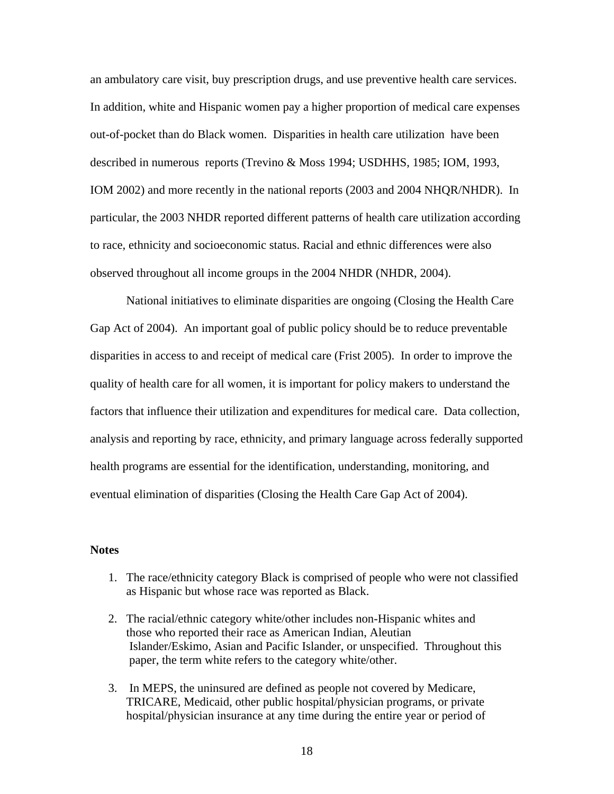<span id="page-17-0"></span>an ambulatory care visit, buy prescription drugs, and use preventive health care services. In addition, white and Hispanic women pay a higher proportion of medical care expenses out-of-pocket than do Black women. Disparities in health care utilization have been described in numerous reports (Trevino & Moss 1994; USDHHS, 1985; IOM, 1993, IOM 2002) and more recently in the national reports (2003 and 2004 NHQR/NHDR). In particular, the 2003 NHDR reported different patterns of health care utilization according to race, ethnicity and socioeconomic status. Racial and ethnic differences were also observed throughout all income groups in the 2004 NHDR (NHDR, 2004).

National initiatives to eliminate disparities are ongoing (Closing the Health Care Gap Act of 2004). An important goal of public policy should be to reduce preventable disparities in access to and receipt of medical care (Frist 2005). In order to improve the quality of health care for all women, it is important for policy makers to understand the factors that influence their utilization and expenditures for medical care. Data collection, analysis and reporting by race, ethnicity, and primary language across federally supported health programs are essential for the identification, understanding, monitoring, and eventual elimination of disparities (Closing the Health Care Gap Act of 2004).

#### **Notes**

- 1. The race/ethnicity category Black is comprised of people who were not classified as Hispanic but whose race was reported as Black.
- 2. The racial/ethnic category white/other includes non-Hispanic whites and those who reported their race as American Indian, Aleutian Islander/Eskimo, Asian and Pacific Islander, or unspecified. Throughout this paper, the term white refers to the category white/other.
- 3. In MEPS, the uninsured are defined as people not covered by Medicare, TRICARE, Medicaid, other public hospital/physician programs, or private hospital/physician insurance at any time during the entire year or period of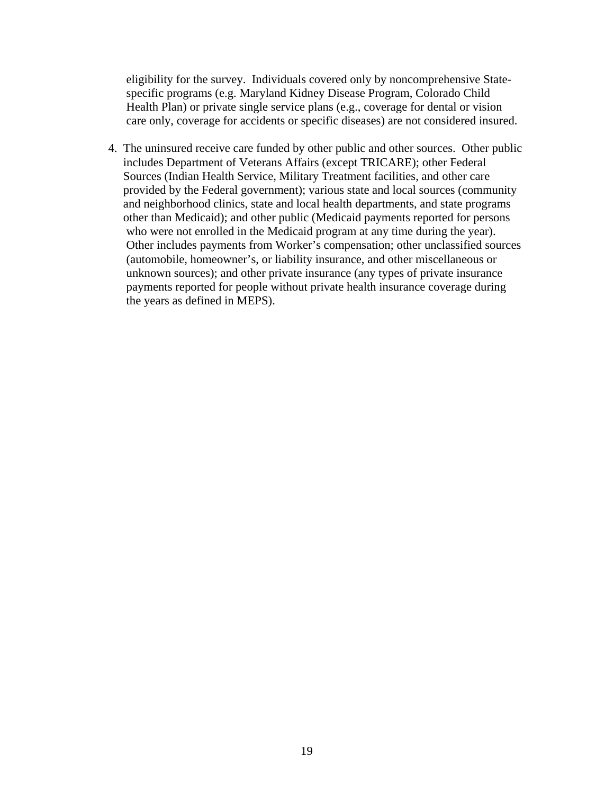<span id="page-18-0"></span>eligibility for the survey. Individuals covered only by noncomprehensive Statespecific programs (e.g. Maryland Kidney Disease Program, Colorado Child Health Plan) or private single service plans (e.g., coverage for dental or vision care only, coverage for accidents or specific diseases) are not considered insured.

4. The uninsured receive care funded by other public and other sources. Other public includes Department of Veterans Affairs (except TRICARE); other Federal Sources (Indian Health Service, Military Treatment facilities, and other care provided by the Federal government); various state and local sources (community and neighborhood clinics, state and local health departments, and state programs other than Medicaid); and other public (Medicaid payments reported for persons who were not enrolled in the Medicaid program at any time during the year). Other includes payments from Worker's compensation; other unclassified sources (automobile, homeowner's, or liability insurance, and other miscellaneous or unknown sources); and other private insurance (any types of private insurance payments reported for people without private health insurance coverage during the years as defined in MEPS).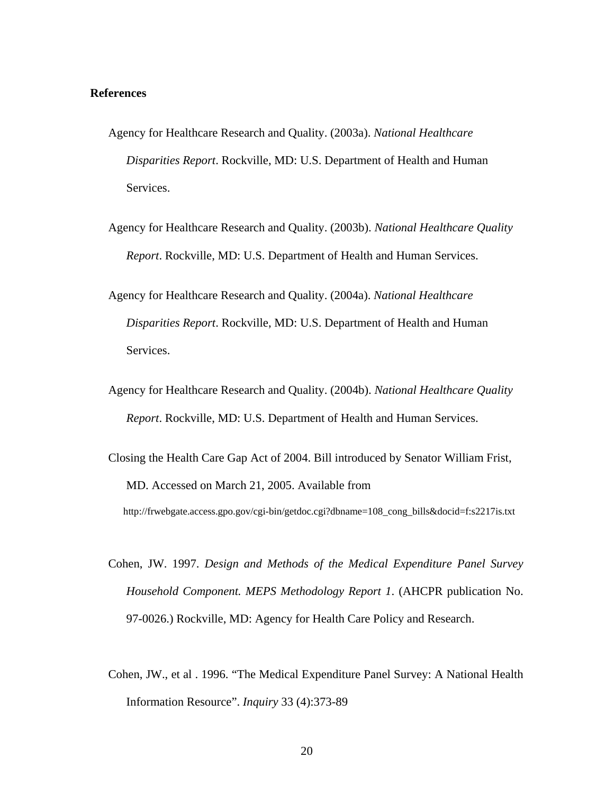#### **References**

- Agency for Healthcare Research and Quality. (2003a). *National Healthcare Disparities Report*. Rockville, MD: U.S. Department of Health and Human Services.
- Agency for Healthcare Research and Quality. (2003b). *National Healthcare Quality Report*. Rockville, MD: U.S. Department of Health and Human Services.
- Agency for Healthcare Research and Quality. (2004a). *National Healthcare Disparities Report*. Rockville, MD: U.S. Department of Health and Human Services.
- Agency for Healthcare Research and Quality. (2004b). *National Healthcare Quality Report*. Rockville, MD: U.S. Department of Health and Human Services.
- Closing the Health Care Gap Act of 2004. Bill introduced by Senator William Frist, MD. Accessed on March 21, 2005. Available from

http://frwebgate.access.gpo.gov/cgi-bin/getdoc.cgi?dbname=108\_cong\_bills&docid=f:s2217is.txt

- Cohen, JW. 1997. *Design and Methods of the Medical Expenditure Panel Survey Household Component. MEPS Methodology Report 1*. (AHCPR publication No. 97-0026.) Rockville, MD: Agency for Health Care Policy and Research.
- Cohen, JW., et al . 1996. "The Medical Expenditure Panel Survey: A National Health Information Resource". *Inquiry* 33 (4):373-89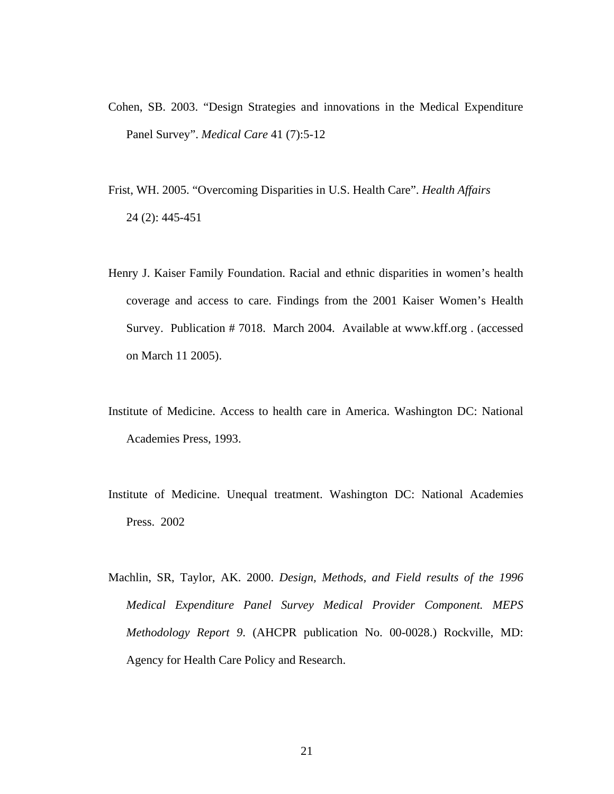- Cohen, SB. 2003. "Design Strategies and innovations in the Medical Expenditure Panel Survey". *Medical Care* 41 (7):5-12
- Frist, WH. 2005. "Overcoming Disparities in U.S. Health Care". *Health Affairs* 24 (2): 445-451
- Henry J. Kaiser Family Foundation. Racial and ethnic disparities in women's health coverage and access to care. Findings from the 2001 Kaiser Women's Health Survey. Publication # 7018. March 2004. Available at www.kff.org . (accessed on March 11 2005).
- Institute of Medicine. Access to health care in America. Washington DC: National Academies Press, 1993.
- Institute of Medicine. Unequal treatment. Washington DC: National Academies Press. 2002
- Machlin, SR, Taylor, AK. 2000. *Design, Methods, and Field results of the 1996 Medical Expenditure Panel Survey Medical Provider Component. MEPS Methodology Report 9*. (AHCPR publication No. 00-0028.) Rockville, MD: Agency for Health Care Policy and Research.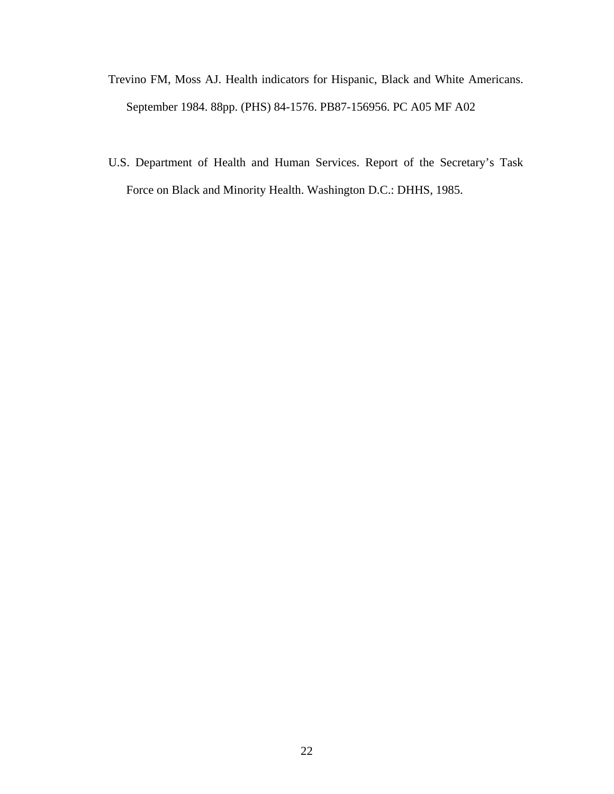- Trevino FM, Moss AJ. Health indicators for Hispanic, Black and White Americans. September 1984. 88pp. (PHS) 84-1576. PB87-156956. PC A05 MF A02
- U.S. Department of Health and Human Services. Report of the Secretary's Task Force on Black and Minority Health. Washington D.C.: DHHS, 1985.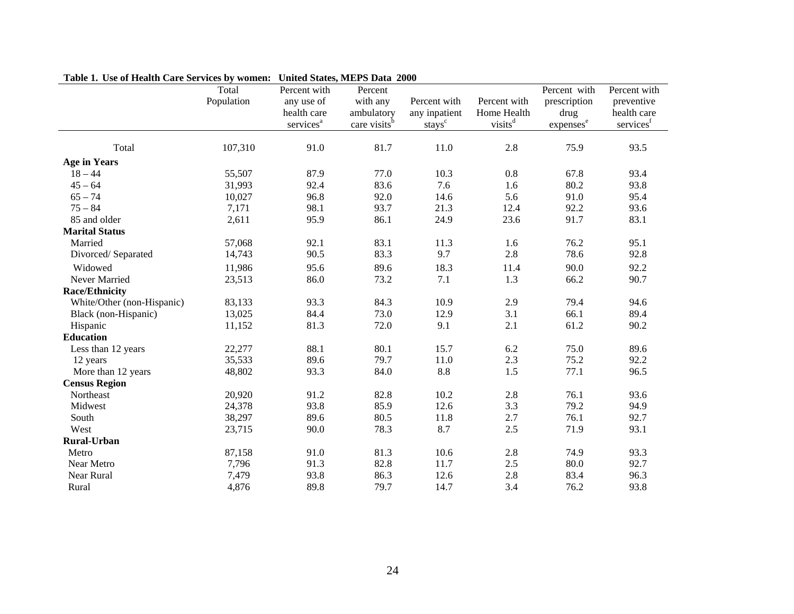| Lable 1. Ose of Health Care Services by Women. United States, MET'S Data 2000 | Total      | Percent with          | Percent                  |                    |                     | Percent with          | Percent with |
|-------------------------------------------------------------------------------|------------|-----------------------|--------------------------|--------------------|---------------------|-----------------------|--------------|
|                                                                               | Population | any use of            | with any                 | Percent with       | Percent with        | prescription          | preventive   |
|                                                                               |            | health care           | ambulatory               | any inpatient      | Home Health         | drug                  | health care  |
|                                                                               |            | services <sup>a</sup> | care visits <sup>b</sup> | stays <sup>c</sup> | visits <sup>d</sup> | expenses <sup>e</sup> | services     |
| Total                                                                         | 107,310    | 91.0                  | 81.7                     | 11.0               | 2.8                 | 75.9                  | 93.5         |
| <b>Age in Years</b>                                                           |            |                       |                          |                    |                     |                       |              |
| $18 - 44$                                                                     | 55,507     | 87.9                  | 77.0                     | 10.3               | $0.8\,$             | 67.8                  | 93.4         |
| $45 - 64$                                                                     | 31,993     | 92.4                  | 83.6                     | 7.6                | 1.6                 | 80.2                  | 93.8         |
| $65 - 74$                                                                     | 10,027     | 96.8                  | 92.0                     | 14.6               | 5.6                 | 91.0                  | 95.4         |
| $75 - 84$                                                                     | 7,171      | 98.1                  | 93.7                     | 21.3               | 12.4                | 92.2                  | 93.6         |
| 85 and older                                                                  | 2,611      | 95.9                  | 86.1                     | 24.9               | 23.6                | 91.7                  | 83.1         |
| <b>Marital Status</b>                                                         |            |                       |                          |                    |                     |                       |              |
| Married                                                                       | 57,068     | 92.1                  | 83.1                     | 11.3               | 1.6                 | 76.2                  | 95.1         |
| Divorced/Separated                                                            | 14,743     | 90.5                  | 83.3                     | 9.7                | 2.8                 | 78.6                  | 92.8         |
| Widowed                                                                       | 11,986     | 95.6                  | 89.6                     | 18.3               | 11.4                | 90.0                  | 92.2         |
| Never Married                                                                 | 23,513     | 86.0                  | 73.2                     | 7.1                | 1.3                 | 66.2                  | 90.7         |
| <b>Race/Ethnicity</b>                                                         |            |                       |                          |                    |                     |                       |              |
| White/Other (non-Hispanic)                                                    | 83,133     | 93.3                  | 84.3                     | 10.9               | 2.9                 | 79.4                  | 94.6         |
| Black (non-Hispanic)                                                          | 13,025     | 84.4                  | 73.0                     | 12.9               | 3.1                 | 66.1                  | 89.4         |
| Hispanic                                                                      | 11,152     | 81.3                  | 72.0                     | 9.1                | 2.1                 | 61.2                  | 90.2         |
| <b>Education</b>                                                              |            |                       |                          |                    |                     |                       |              |
| Less than 12 years                                                            | 22,277     | 88.1                  | 80.1                     | 15.7               | 6.2                 | 75.0                  | 89.6         |
| 12 years                                                                      | 35,533     | 89.6                  | 79.7                     | 11.0               | 2.3                 | 75.2                  | 92.2         |
| More than 12 years                                                            | 48,802     | 93.3                  | 84.0                     | $8.8\,$            | 1.5                 | 77.1                  | 96.5         |
| <b>Census Region</b>                                                          |            |                       |                          |                    |                     |                       |              |
| Northeast                                                                     | 20,920     | 91.2                  | 82.8                     | 10.2               | 2.8                 | 76.1                  | 93.6         |
| Midwest                                                                       | 24,378     | 93.8                  | 85.9                     | 12.6               | 3.3                 | 79.2                  | 94.9         |
| South                                                                         | 38,297     | 89.6                  | 80.5                     | 11.8               | 2.7                 | 76.1                  | 92.7         |
| West                                                                          | 23,715     | 90.0                  | 78.3                     | 8.7                | 2.5                 | 71.9                  | 93.1         |
| <b>Rural-Urban</b>                                                            |            |                       |                          |                    |                     |                       |              |
| Metro                                                                         | 87,158     | 91.0                  | 81.3                     | 10.6               | 2.8                 | 74.9                  | 93.3         |
| Near Metro                                                                    | 7,796      | 91.3                  | 82.8                     | 11.7               | 2.5                 | 80.0                  | 92.7         |
| Near Rural                                                                    | 7,479      | 93.8                  | 86.3                     | 12.6               | 2.8                 | 83.4                  | 96.3         |
| Rural                                                                         | 4,876      | 89.8                  | 79.7                     | 14.7               | 3.4                 | 76.2                  | 93.8         |

## **Table 1. Use of Health Care Services by women: United States, MEPS Data 2000**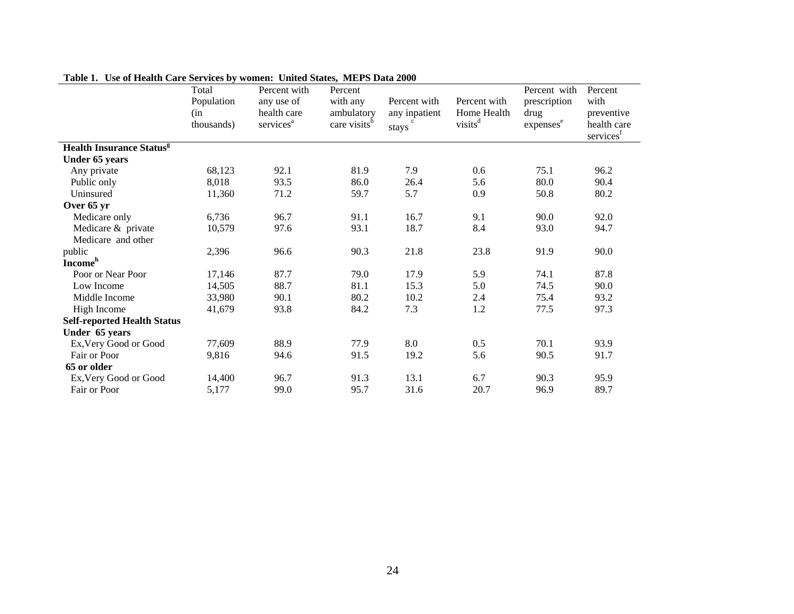| Cal of Health Care act vices by women. Chilea atacs, when a Data 2000 | Total      | Percent with          | Percent                  |               |                     | Percent with          | Percent               |
|-----------------------------------------------------------------------|------------|-----------------------|--------------------------|---------------|---------------------|-----------------------|-----------------------|
|                                                                       | Population | any use of            | with any                 | Percent with  | Percent with        | prescription          | with                  |
|                                                                       | (in        | health care           | ambulatory               | any inpatient | Home Health         | drug                  | preventive            |
|                                                                       | thousands) | services <sup>a</sup> | care visits <sup>b</sup> |               | visits <sup>d</sup> | expenses <sup>e</sup> | health care           |
|                                                                       |            |                       |                          | stays         |                     |                       | services <sup>f</sup> |
| <b>Health Insurance Status<sup>g</sup></b>                            |            |                       |                          |               |                     |                       |                       |
| Under 65 years                                                        |            |                       |                          |               |                     |                       |                       |
| Any private                                                           | 68,123     | 92.1                  | 81.9                     | 7.9           | 0.6                 | 75.1                  | 96.2                  |
| Public only                                                           | 8,018      | 93.5                  | 86.0                     | 26.4          | 5.6                 | 80.0                  | 90.4                  |
| Uninsured                                                             | 11,360     | 71.2                  | 59.7                     | 5.7           | 0.9                 | 50.8                  | 80.2                  |
| Over 65 yr                                                            |            |                       |                          |               |                     |                       |                       |
| Medicare only                                                         | 6,736      | 96.7                  | 91.1                     | 16.7          | 9.1                 | 90.0                  | 92.0                  |
| Medicare & private                                                    | 10,579     | 97.6                  | 93.1                     | 18.7          | 8.4                 | 93.0                  | 94.7                  |
| Medicare and other                                                    |            |                       |                          |               |                     |                       |                       |
| public                                                                | 2,396      | 96.6                  | 90.3                     | 21.8          | 23.8                | 91.9                  | 90.0                  |
| <b>Income</b> <sup>h</sup>                                            |            |                       |                          |               |                     |                       |                       |
| Poor or Near Poor                                                     | 17,146     | 87.7                  | 79.0                     | 17.9          | 5.9                 | 74.1                  | 87.8                  |
| Low Income                                                            | 14,505     | 88.7                  | 81.1                     | 15.3          | 5.0                 | 74.5                  | 90.0                  |
| Middle Income                                                         | 33,980     | 90.1                  | 80.2                     | 10.2          | 2.4                 | 75.4                  | 93.2                  |
| High Income                                                           | 41,679     | 93.8                  | 84.2                     | 7.3           | 1.2                 | 77.5                  | 97.3                  |
| <b>Self-reported Health Status</b>                                    |            |                       |                          |               |                     |                       |                       |
| Under 65 years                                                        |            |                       |                          |               |                     |                       |                       |
| Ex, Very Good or Good                                                 | 77,609     | 88.9                  | 77.9                     | 8.0           | 0.5                 | 70.1                  | 93.9                  |
| Fair or Poor                                                          | 9,816      | 94.6                  | 91.5                     | 19.2          | 5.6                 | 90.5                  | 91.7                  |
| 65 or older                                                           |            |                       |                          |               |                     |                       |                       |
| Ex, Very Good or Good                                                 | 14,400     | 96.7                  | 91.3                     | 13.1          | 6.7                 | 90.3                  | 95.9                  |
| Fair or Poor                                                          | 5,177      | 99.0                  | 95.7                     | 31.6          | 20.7                | 96.9                  | 89.7                  |

**Table 1. Use of Health Care Services by women: United States, MEPS Data 2000**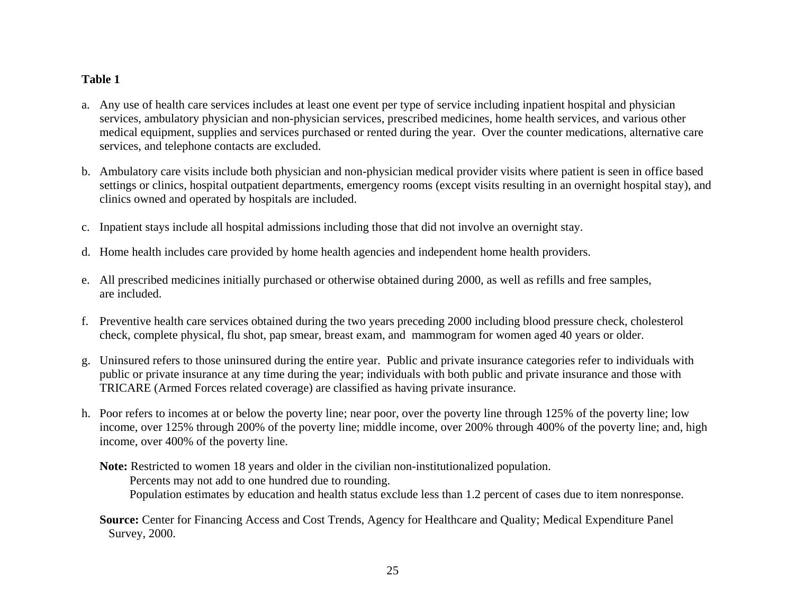## <span id="page-24-0"></span>**Table 1**

- a. Any use of health care services includes at least one event per type of service including inpatient hospital and physician services, ambulatory physician and non-physician services, prescribed medicines, home health services, and various other medical equipment, supplies and services purchased or rented during the year. Over the counter medications, alternative care services, and telephone contacts are excluded.
- b. Ambulatory care visits include both physician and non-physician medical provider visits where patient is seen in office based settings or clinics, hospital outpatient departments, emergency rooms (except visits resulting in an overnight hospital stay), and clinics owned and operated by hospitals are included.
- c. Inpatient stays include all hospital admissions including those that did not involve an overnight stay.
- d. Home health includes care provided by home health agencies and independent home health providers.
- e. All prescribed medicines initially purchased or otherwise obtained during 2000, as well as refills and free samples, are included.
- f. Preventive health care services obtained during the two years preceding 2000 including blood pressure check, cholesterol check, complete physical, flu shot, pap smear, breast exam, and mammogram for women aged 40 years or older.
- g. Uninsured refers to those uninsured during the entire year. Public and private insurance categories refer to individuals with public or private insurance at any time during the year; individuals with both public and private insurance and those with TRICARE (Armed Forces related coverage) are classified as having private insurance.
- h. Poor refers to incomes at or below the poverty line; near poor, over the poverty line through 125% of the poverty line; low income, over 125% through 200% of the poverty line; middle income, over 200% through 400% of the poverty line; and, high income, over 400% of the poverty line.

**Note:** Restricted to women 18 years and older in the civilian non-institutionalized population. Percents may not add to one hundred due to rounding. Population estimates by education and health status exclude less than 1.2 percent of cases due to item nonresponse.

**Source:** Center for Financing Access and Cost Trends, Agency for Healthcare and Quality; Medical Expenditure Panel Survey, 2000.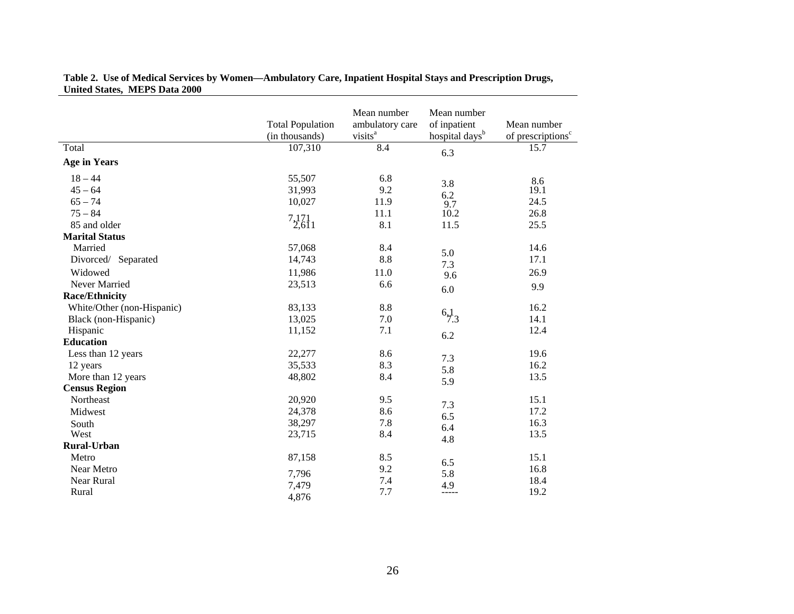|                            | <b>Total Population</b><br>(in thousands) | Mean number<br>ambulatory care<br>visits <sup>a</sup> | Mean number<br>of inpatient<br>hospital days <sup>b</sup> | Mean number<br>of prescriptions <sup>c</sup> |
|----------------------------|-------------------------------------------|-------------------------------------------------------|-----------------------------------------------------------|----------------------------------------------|
| Total                      | 107,310                                   | 8.4                                                   | 6.3                                                       | 15.7                                         |
| <b>Age in Years</b>        |                                           |                                                       |                                                           |                                              |
| $18 - 44$                  | 55,507                                    | 6.8                                                   |                                                           | 8.6                                          |
| $45 - 64$                  | 31,993                                    | 9.2                                                   | 3.8<br>6.2                                                | 19.1                                         |
| $65 - 74$                  | 10,027                                    | 11.9                                                  | 9.7                                                       | 24.5                                         |
| $75 - 84$                  |                                           | 11.1                                                  | 10.2                                                      | 26.8                                         |
| 85 and older               | $7,171$ <sub>1</sub>                      | 8.1                                                   | 11.5                                                      | 25.5                                         |
| <b>Marital Status</b>      |                                           |                                                       |                                                           |                                              |
| Married                    | 57,068                                    | 8.4                                                   |                                                           | 14.6                                         |
| Divorced/ Separated        | 14,743                                    | 8.8                                                   | 5.0<br>7.3                                                | 17.1                                         |
| Widowed                    | 11,986                                    | 11.0                                                  | 9.6                                                       | 26.9                                         |
| Never Married              | 23,513                                    | 6.6                                                   |                                                           | 9.9                                          |
| <b>Race/Ethnicity</b>      |                                           |                                                       | 6.0                                                       |                                              |
| White/Other (non-Hispanic) | 83,133                                    | 8.8                                                   |                                                           | 16.2                                         |
| Black (non-Hispanic)       | 13,025                                    | 7.0                                                   | $^{6,1}_{7,3}$                                            | 14.1                                         |
| Hispanic                   | 11,152                                    | 7.1                                                   |                                                           | 12.4                                         |
| <b>Education</b>           |                                           |                                                       | 6.2                                                       |                                              |
| Less than 12 years         | 22,277                                    | 8.6                                                   |                                                           | 19.6                                         |
| 12 years                   | 35,533                                    | 8.3                                                   | 7.3                                                       | 16.2                                         |
| More than 12 years         | 48,802                                    | 8.4                                                   | 5.8                                                       | 13.5                                         |
| <b>Census Region</b>       |                                           |                                                       | 5.9                                                       |                                              |
| Northeast                  | 20,920                                    | 9.5                                                   | 7.3                                                       | 15.1                                         |
| Midwest                    | 24,378                                    | 8.6                                                   |                                                           | 17.2                                         |
| South                      | 38,297                                    | 7.8                                                   | 6.5<br>6.4                                                | 16.3                                         |
| West                       | 23,715                                    | 8.4                                                   |                                                           | 13.5                                         |
| <b>Rural-Urban</b>         |                                           |                                                       | 4.8                                                       |                                              |
| Metro                      | 87,158                                    | 8.5                                                   |                                                           | 15.1                                         |
| Near Metro                 |                                           | 9.2                                                   | 6.5                                                       | 16.8                                         |
| Near Rural                 | 7,796                                     | 7.4                                                   | 5.8                                                       | 18.4                                         |
| Rural                      | 7,479<br>4,876                            | 7.7                                                   | 4.9<br>-----                                              | 19.2                                         |

#### **Table 2. Use of Medical Services by Women—Ambulatory Care, Inpatient Hospital Stays and Prescription Drugs, United States, MEPS Data 2000**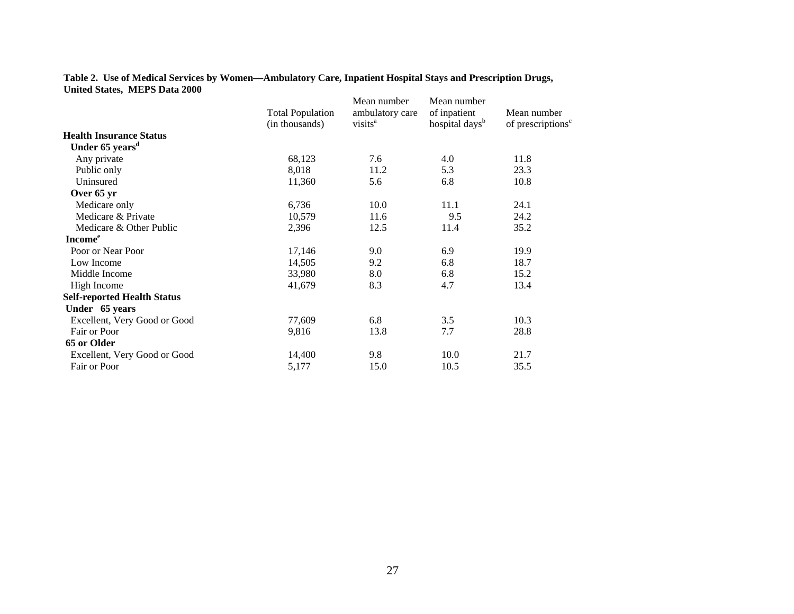#### **Table 2. Use of Medical Services by Women—Ambulatory Care, Inpatient Hospital Stays and Prescription Drugs, United States, MEPS Data 2000**

|                                    | <b>Total Population</b><br>(in thousands) | Mean number<br>ambulatory care<br>visits <sup>a</sup> | Mean number<br>of inpatient<br>hospital days <sup>b</sup> | Mean number<br>of prescriptions <sup>c</sup> |
|------------------------------------|-------------------------------------------|-------------------------------------------------------|-----------------------------------------------------------|----------------------------------------------|
| <b>Health Insurance Status</b>     |                                           |                                                       |                                                           |                                              |
| Under 65 years <sup>d</sup>        |                                           |                                                       |                                                           |                                              |
| Any private                        | 68,123                                    | 7.6                                                   | 4.0                                                       | 11.8                                         |
| Public only                        | 8,018                                     | 11.2                                                  | 5.3                                                       | 23.3                                         |
| Uninsured                          | 11,360                                    | 5.6                                                   | 6.8                                                       | 10.8                                         |
| Over 65 yr                         |                                           |                                                       |                                                           |                                              |
| Medicare only                      | 6,736                                     | 10.0                                                  | 11.1                                                      | 24.1                                         |
| Medicare & Private                 | 10,579                                    | 11.6                                                  | 9.5                                                       | 24.2                                         |
| Medicare & Other Public            | 2,396                                     | 12.5                                                  | 11.4                                                      | 35.2                                         |
| <b>Income</b> <sup>e</sup>         |                                           |                                                       |                                                           |                                              |
| Poor or Near Poor                  | 17,146                                    | 9.0                                                   | 6.9                                                       | 19.9                                         |
| Low Income                         | 14,505                                    | 9.2                                                   | 6.8                                                       | 18.7                                         |
| Middle Income                      | 33,980                                    | 8.0                                                   | 6.8                                                       | 15.2                                         |
| High Income                        | 41,679                                    | 8.3                                                   | 4.7                                                       | 13.4                                         |
| <b>Self-reported Health Status</b> |                                           |                                                       |                                                           |                                              |
| Under 65 years                     |                                           |                                                       |                                                           |                                              |
| Excellent, Very Good or Good       | 77,609                                    | 6.8                                                   | 3.5                                                       | 10.3                                         |
| Fair or Poor                       | 9,816                                     | 13.8                                                  | 7.7                                                       | 28.8                                         |
| 65 or Older                        |                                           |                                                       |                                                           |                                              |
| Excellent, Very Good or Good       | 14,400                                    | 9.8                                                   | 10.0                                                      | 21.7                                         |
| Fair or Poor                       | 5,177                                     | 15.0                                                  | 10.5                                                      | 35.5                                         |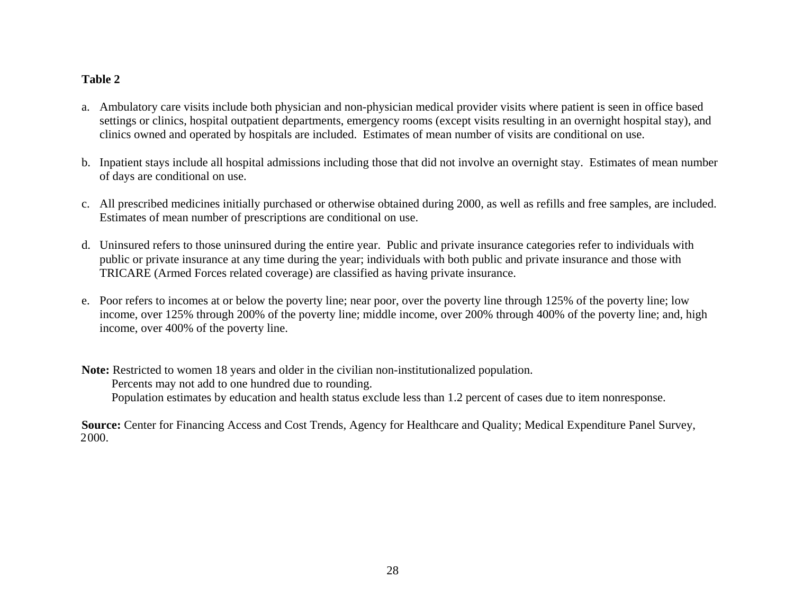## <span id="page-27-0"></span>**Table 2**

- a. Ambulatory care visits include both physician and non-physician medical provider visits where patient is seen in office based settings or clinics, hospital outpatient departments, emergency rooms (except visits resulting in an overnight hospital stay), and clinics owned and operated by hospitals are included. Estimates of mean number of visits are conditional on use.
- b. Inpatient stays include all hospital admissions including those that did not involve an overnight stay. Estimates of mean number of days are conditional on use.
- c. All prescribed medicines initially purchased or otherwise obtained during 2000, as well as refills and free samples, are included. Estimates of mean number of prescriptions are conditional on use.
- d. Uninsured refers to those uninsured during the entire year. Public and private insurance categories refer to individuals with public or private insurance at any time during the year; individuals with both public and private insurance and those with TRICARE (Armed Forces related coverage) are classified as having private insurance.
- e. Poor refers to incomes at or below the poverty line; near poor, over the poverty line through 125% of the poverty line; low income, over 125% through 200% of the poverty line; middle income, over 200% through 400% of the poverty line; and, high income, over 400% of the poverty line.

**Note:** Restricted to women 18 years and older in the civilian non-institutionalized population. Percents may not add to one hundred due to rounding. Population estimates by education and health status exclude less than 1.2 percent of cases due to item nonresponse.

**Source:** Center for Financing Access and Cost Trends, Agency for Healthcare and Quality; Medical Expenditure Panel Survey, 2000.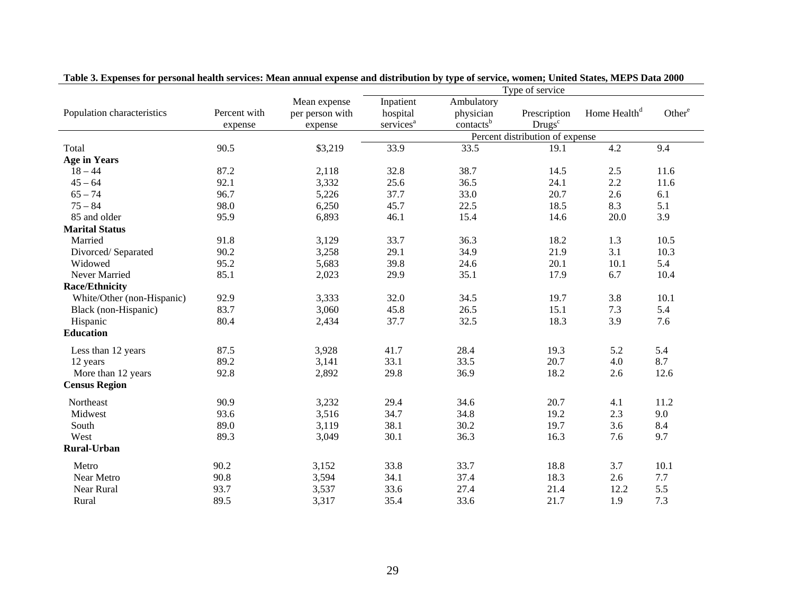|                            |              | Mean expense    | Inpatient             | Ambulatory            |                                 |                          |                    |
|----------------------------|--------------|-----------------|-----------------------|-----------------------|---------------------------------|--------------------------|--------------------|
| Population characteristics | Percent with | per person with | hospital              | physician             | Prescription                    | Home Health <sup>d</sup> | Other <sup>e</sup> |
|                            | expense      | expense         | services <sup>a</sup> | contacts <sup>b</sup> | Drugs <sup>c</sup>              |                          |                    |
|                            |              |                 |                       |                       | Percent distribution of expense |                          |                    |
| Total                      | 90.5         | \$3,219         | 33.9                  | 33.5                  | 19.1                            | 4.2                      | 9.4                |
| <b>Age in Years</b>        |              |                 |                       |                       |                                 |                          |                    |
| $18 - 44$                  | 87.2         | 2,118           | 32.8                  | 38.7                  | 14.5                            | 2.5                      | 11.6               |
| $45 - 64$                  | 92.1         | 3,332           | 25.6                  | 36.5                  | 24.1                            | 2.2                      | 11.6               |
| $65 - 74$                  | 96.7         | 5,226           | 37.7                  | 33.0                  | 20.7                            | 2.6                      | 6.1                |
| $75 - 84$                  | 98.0         | 6,250           | 45.7                  | 22.5                  | 18.5                            | 8.3                      | 5.1                |
| 85 and older               | 95.9         | 6,893           | 46.1                  | 15.4                  | 14.6                            | 20.0                     | 3.9                |
| <b>Marital Status</b>      |              |                 |                       |                       |                                 |                          |                    |
| Married                    | 91.8         | 3,129           | 33.7                  | 36.3                  | 18.2                            | 1.3                      | 10.5               |
| Divorced/Separated         | 90.2         | 3,258           | 29.1                  | 34.9                  | 21.9                            | 3.1                      | 10.3               |
| Widowed                    | 95.2         | 5,683           | 39.8                  | 24.6                  | 20.1                            | 10.1                     | 5.4                |
| Never Married              | 85.1         | 2,023           | 29.9                  | 35.1                  | 17.9                            | 6.7                      | 10.4               |
| <b>Race/Ethnicity</b>      |              |                 |                       |                       |                                 |                          |                    |
| White/Other (non-Hispanic) | 92.9         | 3,333           | 32.0                  | 34.5                  | 19.7                            | 3.8                      | 10.1               |
| Black (non-Hispanic)       | 83.7         | 3,060           | 45.8                  | 26.5                  | 15.1                            | 7.3                      | 5.4                |
| Hispanic                   | 80.4         | 2,434           | 37.7                  | 32.5                  | 18.3                            | 3.9                      | 7.6                |
| <b>Education</b>           |              |                 |                       |                       |                                 |                          |                    |
|                            |              |                 |                       |                       |                                 |                          |                    |
| Less than 12 years         | 87.5<br>89.2 | 3,928           | 41.7                  | 28.4                  | 19.3                            | 5.2                      | 5.4<br>8.7         |
| 12 years                   |              | 3,141           | 33.1                  | 33.5                  | 20.7                            | 4.0                      |                    |
| More than 12 years         | 92.8         | 2,892           | 29.8                  | 36.9                  | 18.2                            | 2.6                      | 12.6               |
| <b>Census Region</b>       |              |                 |                       |                       |                                 |                          |                    |
| Northeast                  | 90.9         | 3,232           | 29.4                  | 34.6                  | 20.7                            | 4.1                      | 11.2               |
| Midwest                    | 93.6         | 3,516           | 34.7                  | 34.8                  | 19.2                            | 2.3                      | 9.0                |
| South                      | 89.0         | 3,119           | 38.1                  | 30.2                  | 19.7                            | 3.6                      | 8.4                |
| West                       | 89.3         | 3,049           | 30.1                  | 36.3                  | 16.3                            | 7.6                      | 9.7                |
| <b>Rural-Urban</b>         |              |                 |                       |                       |                                 |                          |                    |
| Metro                      | 90.2         | 3,152           | 33.8                  | 33.7                  | 18.8                            | 3.7                      | 10.1               |
| Near Metro                 | 90.8         | 3,594           | 34.1                  | 37.4                  | 18.3                            | 2.6                      | 7.7                |
| Near Rural                 | 93.7         | 3,537           | 33.6                  | 27.4                  | 21.4                            | 12.2                     | 5.5                |
| Rural                      | 89.5         | 3,317           | 35.4                  | 33.6                  | 21.7                            | 1.9                      | 7.3                |
|                            |              |                 |                       |                       |                                 |                          |                    |

**Table 3. Expenses for personal health services: Mean annual expense and distribution by type of service, women; United States, MEPS Data 2000**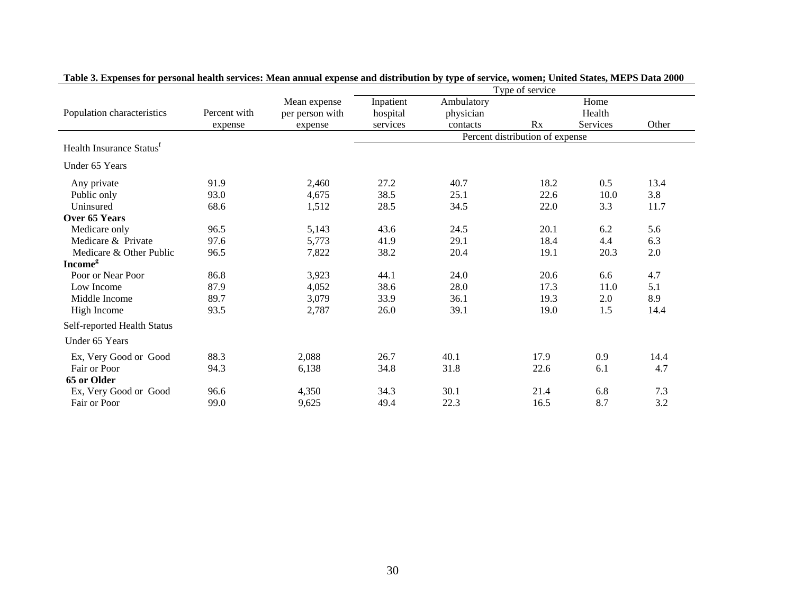|                                      |              |                 | Type of service |            |                                 |          |      |  |  |
|--------------------------------------|--------------|-----------------|-----------------|------------|---------------------------------|----------|------|--|--|
|                                      |              | Mean expense    | Inpatient       | Ambulatory |                                 | Home     |      |  |  |
| Population characteristics           | Percent with | per person with | hospital        | physician  | Health                          |          |      |  |  |
|                                      | expense      | expense         | services        | contacts   | Rx                              | Services |      |  |  |
|                                      |              |                 |                 |            | Percent distribution of expense |          |      |  |  |
| Health Insurance Status <sup>f</sup> |              |                 |                 |            |                                 |          |      |  |  |
| Under 65 Years                       |              |                 |                 |            |                                 |          |      |  |  |
| Any private                          | 91.9         | 2,460           | 27.2            | 40.7       | 18.2                            | 0.5      | 13.4 |  |  |
| Public only                          | 93.0         | 4,675           | 38.5            | 25.1       | 22.6                            | 10.0     | 3.8  |  |  |
| Uninsured                            | 68.6         | 1,512           | 28.5            | 34.5       | 22.0                            | 3.3      | 11.7 |  |  |
| Over 65 Years                        |              |                 |                 |            |                                 |          |      |  |  |
| Medicare only                        | 96.5         | 5,143           | 43.6            | 24.5       | 20.1                            | 6.2      | 5.6  |  |  |
| Medicare & Private                   | 97.6         | 5,773           | 41.9            | 29.1       | 18.4                            | 4.4      | 6.3  |  |  |
| Medicare & Other Public              | 96.5         | 7,822           | 38.2            | 20.4       | 19.1                            | 20.3     | 2.0  |  |  |
| <b>Income</b> <sup>g</sup>           |              |                 |                 |            |                                 |          |      |  |  |
| Poor or Near Poor                    | 86.8         | 3,923           | 44.1            | 24.0       | 20.6                            | 6.6      | 4.7  |  |  |
| Low Income                           | 87.9         | 4,052           | 38.6            | 28.0       | 17.3                            | 11.0     | 5.1  |  |  |
| Middle Income                        | 89.7         | 3,079           | 33.9            | 36.1       | 19.3                            | 2.0      | 8.9  |  |  |
| High Income                          | 93.5         | 2,787           | 26.0            | 39.1       | 19.0                            | 1.5      | 14.4 |  |  |
| Self-reported Health Status          |              |                 |                 |            |                                 |          |      |  |  |
| Under 65 Years                       |              |                 |                 |            |                                 |          |      |  |  |
| Ex, Very Good or Good                | 88.3         | 2,088           | 26.7            | 40.1       | 17.9                            | 0.9      | 14.4 |  |  |
| Fair or Poor                         | 94.3         | 6,138           | 34.8            | 31.8       | 22.6                            | 6.1      | 4.7  |  |  |
| 65 or Older                          |              |                 |                 |            |                                 |          |      |  |  |
| Ex, Very Good or Good                | 96.6         | 4,350           | 34.3            | 30.1       | 21.4                            | 6.8      | 7.3  |  |  |
| Fair or Poor                         | 99.0         | 9,625           | 49.4            | 22.3       | 16.5                            | 8.7      | 3.2  |  |  |

### **Table 3. Expenses for personal health services: Mean annual expense and distribution by type of service, women; United States, MEPS Data 2000**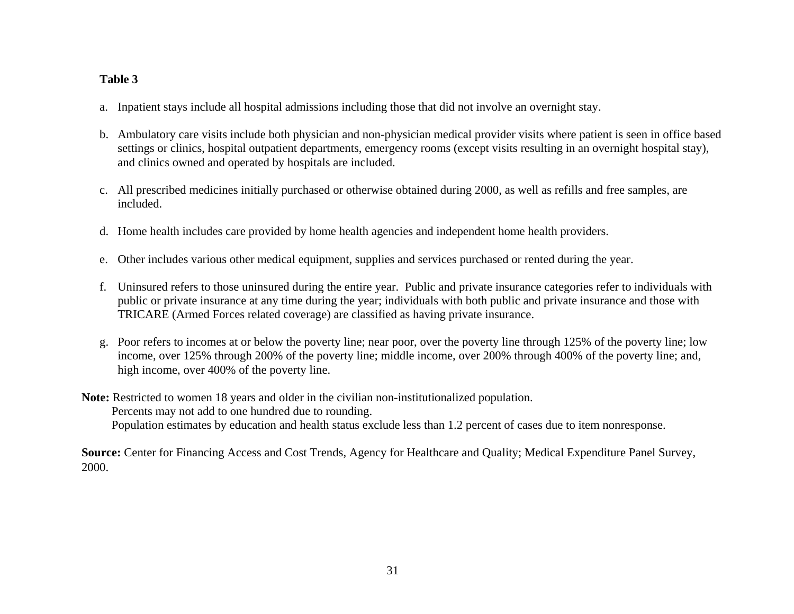## <span id="page-30-0"></span>**Table 3**

- a. Inpatient stays include all hospital admissions including those that did not involve an overnight stay.
- b. Ambulatory care visits include both physician and non-physician medical provider visits where patient is seen in office based settings or clinics, hospital outpatient departments, emergency rooms (except visits resulting in an overnight hospital stay), and clinics owned and operated by hospitals are included.
- c. All prescribed medicines initially purchased or otherwise obtained during 2000, as well as refills and free samples, are included.
- d. Home health includes care provided by home health agencies and independent home health providers.
- e. Other includes various other medical equipment, supplies and services purchased or rented during the year.
- f. Uninsured refers to those uninsured during the entire year. Public and private insurance categories refer to individuals with public or private insurance at any time during the year; individuals with both public and private insurance and those with TRICARE (Armed Forces related coverage) are classified as having private insurance.
- g. Poor refers to incomes at or below the poverty line; near poor, over the poverty line through 125% of the poverty line; low income, over 125% through 200% of the poverty line; middle income, over 200% through 400% of the poverty line; and, high income, over 400% of the poverty line.

**Note:** Restricted to women 18 years and older in the civilian non-institutionalized population. Percents may not add to one hundred due to rounding. Population estimates by education and health status exclude less than 1.2 percent of cases due to item nonresponse.

**Source:** Center for Financing Access and Cost Trends, Agency for Healthcare and Quality; Medical Expenditure Panel Survey, 2000.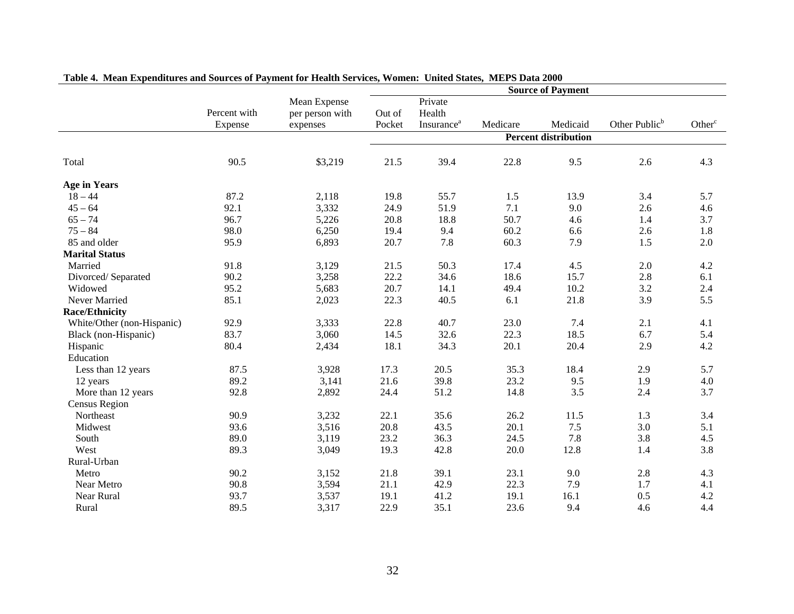|                            |              |                 | <b>Source of Payment</b> |                               |          |                             |                           |                    |  |
|----------------------------|--------------|-----------------|--------------------------|-------------------------------|----------|-----------------------------|---------------------------|--------------------|--|
|                            |              | Mean Expense    |                          | Private                       |          |                             |                           |                    |  |
|                            | Percent with | per person with | Out of                   | Health                        |          |                             |                           |                    |  |
|                            | Expense      | expenses        | Pocket                   | <b>Insurance</b> <sup>a</sup> | Medicare | Medicaid                    | Other Public <sup>b</sup> | Other <sup>c</sup> |  |
|                            |              |                 |                          |                               |          | <b>Percent distribution</b> |                           |                    |  |
| Total                      | 90.5         | \$3,219         | 21.5                     | 39.4                          | 22.8     | 9.5                         | 2.6                       | 4.3                |  |
| <b>Age in Years</b>        |              |                 |                          |                               |          |                             |                           |                    |  |
| $18 - 44$                  | 87.2         | 2,118           | 19.8                     | 55.7                          | 1.5      | 13.9                        | 3.4                       | 5.7                |  |
| $45 - 64$                  | 92.1         | 3,332           | 24.9                     | 51.9                          | 7.1      | 9.0                         | 2.6                       | 4.6                |  |
| $65 - 74$                  | 96.7         | 5,226           | 20.8                     | 18.8                          | 50.7     | 4.6                         | 1.4                       | 3.7                |  |
| $75 - 84$                  | 98.0         | 6,250           | 19.4                     | 9.4                           | 60.2     | 6.6                         | 2.6                       | 1.8                |  |
| 85 and older               | 95.9         | 6,893           | 20.7                     | 7.8                           | 60.3     | 7.9                         | 1.5                       | 2.0                |  |
| <b>Marital Status</b>      |              |                 |                          |                               |          |                             |                           |                    |  |
| Married                    | 91.8         | 3,129           | 21.5                     | 50.3                          | 17.4     | 4.5                         | 2.0                       | 4.2                |  |
| Divorced/Separated         | 90.2         | 3,258           | 22.2                     | 34.6                          | 18.6     | 15.7                        | 2.8                       | 6.1                |  |
| Widowed                    | 95.2         | 5,683           | 20.7                     | 14.1                          | 49.4     | 10.2                        | 3.2                       | 2.4                |  |
| Never Married              | 85.1         | 2,023           | 22.3                     | 40.5                          | 6.1      | 21.8                        | 3.9                       | 5.5                |  |
| <b>Race/Ethnicity</b>      |              |                 |                          |                               |          |                             |                           |                    |  |
| White/Other (non-Hispanic) | 92.9         | 3,333           | 22.8                     | 40.7                          | 23.0     | 7.4                         | 2.1                       | 4.1                |  |
| Black (non-Hispanic)       | 83.7         | 3,060           | 14.5                     | 32.6                          | 22.3     | 18.5                        | 6.7                       | 5.4                |  |
| Hispanic                   | 80.4         | 2,434           | 18.1                     | 34.3                          | 20.1     | 20.4                        | 2.9                       | 4.2                |  |
| Education                  |              |                 |                          |                               |          |                             |                           |                    |  |
| Less than 12 years         | 87.5         | 3,928           | 17.3                     | 20.5                          | 35.3     | 18.4                        | 2.9                       | 5.7                |  |
| 12 years                   | 89.2         | 3,141           | 21.6                     | 39.8                          | 23.2     | 9.5                         | 1.9                       | 4.0                |  |
| More than 12 years         | 92.8         | 2,892           | 24.4                     | 51.2                          | 14.8     | 3.5                         | 2.4                       | 3.7                |  |
| <b>Census Region</b>       |              |                 |                          |                               |          |                             |                           |                    |  |
| Northeast                  | 90.9         | 3,232           | 22.1                     | 35.6                          | 26.2     | 11.5                        | 1.3                       | 3.4                |  |
| Midwest                    | 93.6         | 3,516           | 20.8                     | 43.5                          | 20.1     | $7.5\,$                     | 3.0                       | 5.1                |  |
| South                      | 89.0         | 3,119           | 23.2                     | 36.3                          | 24.5     | 7.8                         | 3.8                       | 4.5                |  |
| West                       | 89.3         | 3,049           | 19.3                     | 42.8                          | 20.0     | 12.8                        | 1.4                       | 3.8                |  |
| Rural-Urban                |              |                 |                          |                               |          |                             |                           |                    |  |
| Metro                      | 90.2         | 3,152           | 21.8                     | 39.1                          | 23.1     | 9.0                         | 2.8                       | 4.3                |  |
| Near Metro                 | 90.8         | 3,594           | 21.1                     | 42.9                          | 22.3     | 7.9                         | 1.7                       | 4.1                |  |
| Near Rural                 | 93.7         | 3,537           | 19.1                     | 41.2                          | 19.1     | 16.1                        | 0.5                       | 4.2                |  |
| Rural                      | 89.5         | 3,317           | 22.9                     | 35.1                          | 23.6     | 9.4                         | 4.6                       | 4.4                |  |

## **Table 4. Mean Expenditures and Sources of Payment for Health Services, Women: United States, MEPS Data 2000**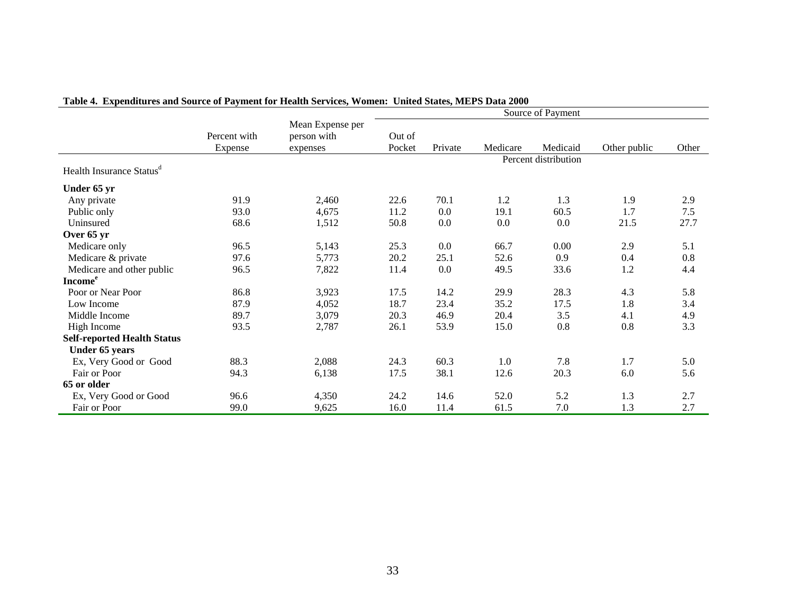|                                      |                         |                                             |                  |         |          | Source of Payment    |              |       |
|--------------------------------------|-------------------------|---------------------------------------------|------------------|---------|----------|----------------------|--------------|-------|
|                                      | Percent with<br>Expense | Mean Expense per<br>person with<br>expenses | Out of<br>Pocket | Private | Medicare | Medicaid             | Other public | Other |
|                                      |                         |                                             |                  |         |          | Percent distribution |              |       |
| Health Insurance Status <sup>d</sup> |                         |                                             |                  |         |          |                      |              |       |
| Under 65 yr                          |                         |                                             |                  |         |          |                      |              |       |
| Any private                          | 91.9                    | 2,460                                       | 22.6             | 70.1    | 1.2      | 1.3                  | 1.9          | 2.9   |
| Public only                          | 93.0                    | 4,675                                       | 11.2             | 0.0     | 19.1     | 60.5                 | 1.7          | 7.5   |
| Uninsured                            | 68.6                    | 1,512                                       | 50.8             | 0.0     | 0.0      | 0.0                  | 21.5         | 27.7  |
| Over 65 yr                           |                         |                                             |                  |         |          |                      |              |       |
| Medicare only                        | 96.5                    | 5,143                                       | 25.3             | 0.0     | 66.7     | 0.00                 | 2.9          | 5.1   |
| Medicare & private                   | 97.6                    | 5,773                                       | 20.2             | 25.1    | 52.6     | 0.9                  | 0.4          | 0.8   |
| Medicare and other public            | 96.5                    | 7,822                                       | 11.4             | 0.0     | 49.5     | 33.6                 | 1.2          | 4.4   |
| <b>Income</b> <sup>e</sup>           |                         |                                             |                  |         |          |                      |              |       |
| Poor or Near Poor                    | 86.8                    | 3,923                                       | 17.5             | 14.2    | 29.9     | 28.3                 | 4.3          | 5.8   |
| Low Income                           | 87.9                    | 4,052                                       | 18.7             | 23.4    | 35.2     | 17.5                 | 1.8          | 3.4   |
| Middle Income                        | 89.7                    | 3,079                                       | 20.3             | 46.9    | 20.4     | 3.5                  | 4.1          | 4.9   |
| High Income                          | 93.5                    | 2,787                                       | 26.1             | 53.9    | 15.0     | 0.8                  | 0.8          | 3.3   |
| <b>Self-reported Health Status</b>   |                         |                                             |                  |         |          |                      |              |       |
| Under 65 years                       |                         |                                             |                  |         |          |                      |              |       |
| Ex, Very Good or Good                | 88.3                    | 2,088                                       | 24.3             | 60.3    | 1.0      | 7.8                  | 1.7          | 5.0   |
| Fair or Poor                         | 94.3                    | 6,138                                       | 17.5             | 38.1    | 12.6     | 20.3                 | 6.0          | 5.6   |
| 65 or older                          |                         |                                             |                  |         |          |                      |              |       |
| Ex, Very Good or Good                | 96.6                    | 4,350                                       | 24.2             | 14.6    | 52.0     | 5.2                  | 1.3          | 2.7   |
| Fair or Poor                         | 99.0                    | 9,625                                       | 16.0             | 11.4    | 61.5     | 7.0                  | 1.3          | 2.7   |

# **Table 4. Expenditures and Source of Payment for Health Services, Women: United States, MEPS Data 2000**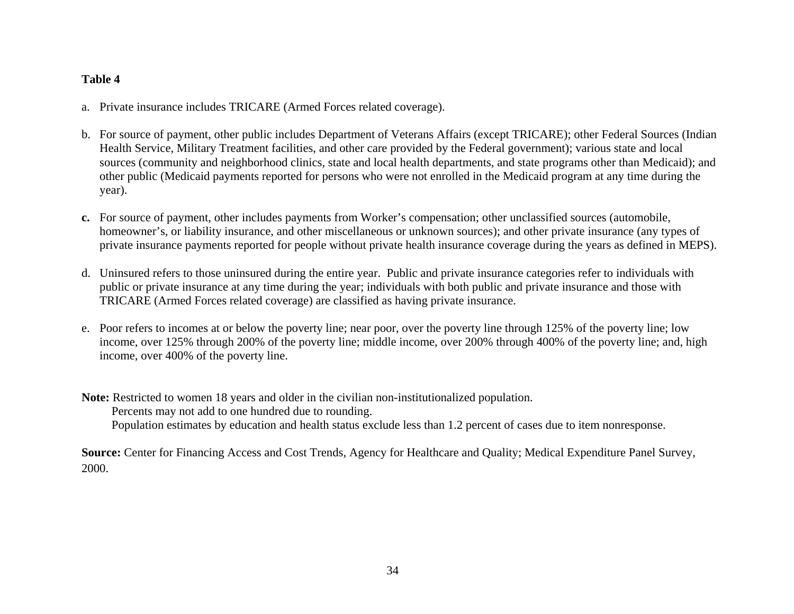## <span id="page-33-0"></span>**Table 4**

- a. Private insurance includes TRICARE (Armed Forces related coverage).
- b. For source of payment, other public includes Department of Veterans Affairs (except TRICARE); other Federal Sources (Indian Health Service, Military Treatment facilities, and other care provided by the Federal government); various state and local sources (community and neighborhood clinics, state and local health departments, and state programs other than Medicaid); and other public (Medicaid payments reported for persons who were not enrolled in the Medicaid program at any time during the year).
- **c.** For source of payment, other includes payments from Worker's compensation; other unclassified sources (automobile, homeowner's, or liability insurance, and other miscellaneous or unknown sources); and other private insurance (any types of private insurance payments reported for people without private health insurance coverage during the years as defined in MEPS).
- d. Uninsured refers to those uninsured during the entire year. Public and private insurance categories refer to individuals with public or private insurance at any time during the year; individuals with both public and private insurance and those with TRICARE (Armed Forces related coverage) are classified as having private insurance.
- e. Poor refers to incomes at or below the poverty line; near poor, over the poverty line through 125% of the poverty line; low income, over 125% through 200% of the poverty line; middle income, over 200% through 400% of the poverty line; and, high income, over 400% of the poverty line.
- **Note:** Restricted to women 18 years and older in the civilian non-institutionalized population. Percents may not add to one hundred due to rounding. Population estimates by education and health status exclude less than 1.2 percent of cases due to item nonresponse.

**Source:** Center for Financing Access and Cost Trends, Agency for Healthcare and Quality; Medical Expenditure Panel Survey, 2000.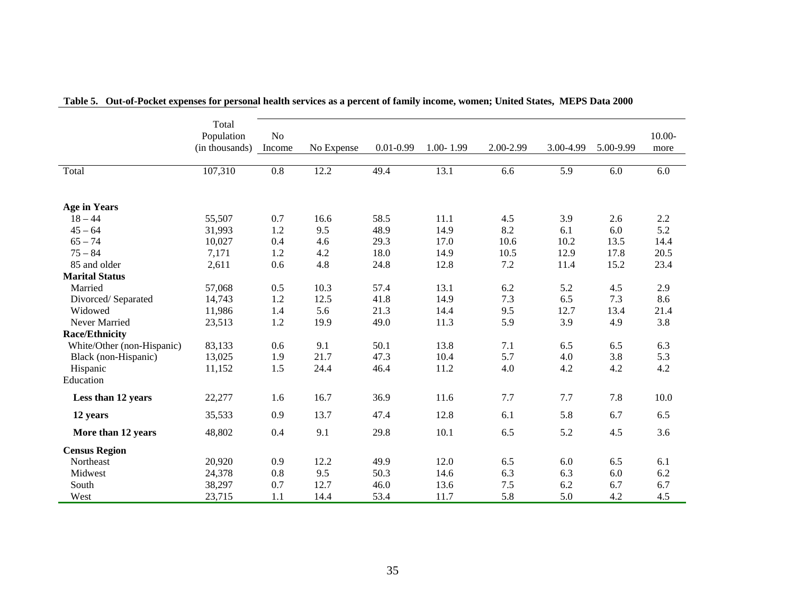|                            | Total<br>Population<br>(in thousands) | N <sub>o</sub><br>Income | No Expense | $0.01 - 0.99$ | $1.00 - 1.99$ | 2.00-2.99 | 3.00-4.99 | 5.00-9.99 | $10.00 -$<br>more |
|----------------------------|---------------------------------------|--------------------------|------------|---------------|---------------|-----------|-----------|-----------|-------------------|
| Total                      | 107,310                               | 0.8                      | 12.2       | 49.4          | 13.1          | 6.6       | 5.9       | 6.0       | 6.0               |
| <b>Age in Years</b>        |                                       |                          |            |               |               |           |           |           |                   |
| $18 - 44$                  | 55,507                                | 0.7                      | 16.6       | 58.5          | 11.1          | 4.5       | 3.9       | 2.6       | 2.2               |
| $45 - 64$                  | 31,993                                | 1.2                      | 9.5        | 48.9          | 14.9          | 8.2       | 6.1       | 6.0       | 5.2               |
| $65 - 74$                  | 10,027                                | 0.4                      | 4.6        | 29.3          | 17.0          | 10.6      | 10.2      | 13.5      | 14.4              |
| $75 - 84$                  | 7,171                                 | 1.2                      | 4.2        | 18.0          | 14.9          | 10.5      | 12.9      | 17.8      | 20.5              |
| 85 and older               | 2,611                                 | 0.6                      | 4.8        | 24.8          | 12.8          | 7.2       | 11.4      | 15.2      | 23.4              |
| <b>Marital Status</b>      |                                       |                          |            |               |               |           |           |           |                   |
| Married                    | 57,068                                | 0.5                      | 10.3       | 57.4          | 13.1          | 6.2       | 5.2       | 4.5       | 2.9               |
| Divorced/Separated         | 14,743                                | 1.2                      | 12.5       | 41.8          | 14.9          | 7.3       | 6.5       | 7.3       | 8.6               |
| Widowed                    | 11,986                                | 1.4                      | 5.6        | 21.3          | 14.4          | 9.5       | 12.7      | 13.4      | 21.4              |
| Never Married              | 23,513                                | 1.2                      | 19.9       | 49.0          | 11.3          | 5.9       | 3.9       | 4.9       | 3.8               |
| <b>Race/Ethnicity</b>      |                                       |                          |            |               |               |           |           |           |                   |
| White/Other (non-Hispanic) | 83,133                                | 0.6                      | 9.1        | 50.1          | 13.8          | 7.1       | 6.5       | 6.5       | 6.3               |
| Black (non-Hispanic)       | 13,025                                | 1.9                      | 21.7       | 47.3          | 10.4          | 5.7       | 4.0       | 3.8       | 5.3               |
| Hispanic                   | 11,152                                | 1.5                      | 24.4       | 46.4          | 11.2          | 4.0       | 4.2       | 4.2       | 4.2               |
| Education                  |                                       |                          |            |               |               |           |           |           |                   |
| Less than 12 years         | 22,277                                | 1.6                      | 16.7       | 36.9          | 11.6          | 7.7       | 7.7       | 7.8       | 10.0              |
| 12 years                   | 35,533                                | 0.9                      | 13.7       | 47.4          | 12.8          | 6.1       | 5.8       | 6.7       | 6.5               |
| More than 12 years         | 48,802                                | 0.4                      | 9.1        | 29.8          | 10.1          | 6.5       | 5.2       | 4.5       | 3.6               |
| <b>Census Region</b>       |                                       |                          |            |               |               |           |           |           |                   |
| Northeast                  | 20,920                                | 0.9                      | 12.2       | 49.9          | 12.0          | 6.5       | 6.0       | 6.5       | 6.1               |
| Midwest                    | 24,378                                | 0.8                      | 9.5        | 50.3          | 14.6          | 6.3       | 6.3       | 6.0       | 6.2               |
| South                      | 38,297                                | 0.7                      | 12.7       | 46.0          | 13.6          | 7.5       | 6.2       | 6.7       | 6.7               |
| West                       | 23,715                                | 1.1                      | 14.4       | 53.4          | 11.7          | 5.8       | 5.0       | 4.2       | 4.5               |

**Table 5. Out-of-Pocket expenses for personal health services as a percent of family income, women; United States, MEPS Data 2000**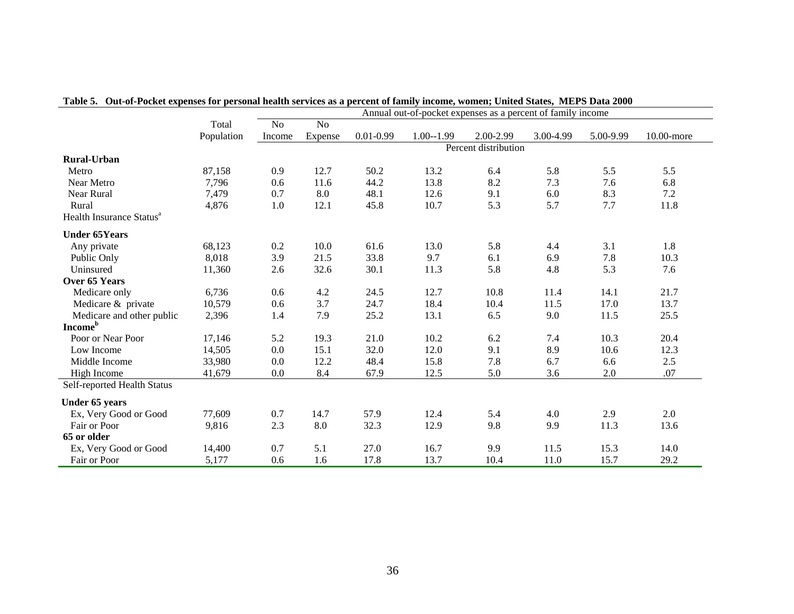|                                      |            | Annual out-of-pocket expenses as a percent of family income |                |               |               |                      |           |           |            |
|--------------------------------------|------------|-------------------------------------------------------------|----------------|---------------|---------------|----------------------|-----------|-----------|------------|
|                                      | Total      | N <sub>o</sub>                                              | N <sub>o</sub> |               |               |                      |           |           |            |
|                                      | Population | Income                                                      | Expense        | $0.01 - 0.99$ | $1.00 - 1.99$ | 2.00-2.99            | 3.00-4.99 | 5.00-9.99 | 10.00-more |
|                                      |            |                                                             |                |               |               | Percent distribution |           |           |            |
| <b>Rural-Urban</b>                   |            |                                                             |                |               |               |                      |           |           |            |
| Metro                                | 87,158     | 0.9                                                         | 12.7           | 50.2          | 13.2          | 6.4                  | 5.8       | 5.5       | 5.5        |
| Near Metro                           | 7,796      | 0.6                                                         | 11.6           | 44.2          | 13.8          | 8.2                  | 7.3       | 7.6       | 6.8        |
| Near Rural                           | 7,479      | 0.7                                                         | 8.0            | 48.1          | 12.6          | 9.1                  | 6.0       | 8.3       | $7.2\,$    |
| Rural                                | 4,876      | 1.0                                                         | 12.1           | 45.8          | 10.7          | 5.3                  | 5.7       | 7.7       | 11.8       |
| Health Insurance Status <sup>a</sup> |            |                                                             |                |               |               |                      |           |           |            |
| <b>Under 65Years</b>                 |            |                                                             |                |               |               |                      |           |           |            |
| Any private                          | 68,123     | 0.2                                                         | 10.0           | 61.6          | 13.0          | 5.8                  | 4.4       | 3.1       | 1.8        |
| Public Only                          | 8,018      | 3.9                                                         | 21.5           | 33.8          | 9.7           | 6.1                  | 6.9       | 7.8       | 10.3       |
| Uninsured                            | 11,360     | 2.6                                                         | 32.6           | 30.1          | 11.3          | 5.8                  | 4.8       | 5.3       | 7.6        |
| Over 65 Years                        |            |                                                             |                |               |               |                      |           |           |            |
| Medicare only                        | 6,736      | 0.6                                                         | 4.2            | 24.5          | 12.7          | 10.8                 | 11.4      | 14.1      | 21.7       |
| Medicare & private                   | 10,579     | 0.6                                                         | 3.7            | 24.7          | 18.4          | 10.4                 | 11.5      | 17.0      | 13.7       |
| Medicare and other public            | 2,396      | 1.4                                                         | 7.9            | 25.2          | 13.1          | 6.5                  | 9.0       | 11.5      | 25.5       |
| <b>Income</b> <sup>b</sup>           |            |                                                             |                |               |               |                      |           |           |            |
| Poor or Near Poor                    | 17,146     | 5.2                                                         | 19.3           | 21.0          | 10.2          | 6.2                  | 7.4       | 10.3      | 20.4       |
| Low Income                           | 14,505     | 0.0                                                         | 15.1           | 32.0          | 12.0          | 9.1                  | 8.9       | 10.6      | 12.3       |
| Middle Income                        | 33,980     | 0.0                                                         | 12.2           | 48.4          | 15.8          | 7.8                  | 6.7       | 6.6       | $2.5$      |
| High Income                          | 41,679     | 0.0                                                         | 8.4            | 67.9          | 12.5          | 5.0                  | 3.6       | 2.0       | .07        |
| Self-reported Health Status          |            |                                                             |                |               |               |                      |           |           |            |
| Under 65 years                       |            |                                                             |                |               |               |                      |           |           |            |
| Ex, Very Good or Good                | 77,609     | 0.7                                                         | 14.7           | 57.9          | 12.4          | 5.4                  | 4.0       | 2.9       | 2.0        |
| Fair or Poor                         | 9,816      | 2.3                                                         | 8.0            | 32.3          | 12.9          | 9.8                  | 9.9       | 11.3      | 13.6       |
| 65 or older                          |            |                                                             |                |               |               |                      |           |           |            |
| Ex, Very Good or Good                | 14,400     | 0.7                                                         | 5.1            | 27.0          | 16.7          | 9.9                  | 11.5      | 15.3      | 14.0       |
| Fair or Poor                         | 5,177      | 0.6                                                         | 1.6            | 17.8          | 13.7          | 10.4                 | 11.0      | 15.7      | 29.2       |

## **Table 5. Out-of-Pocket expenses for personal health services as a percent of family income, women; United States, MEPS Data 2000**